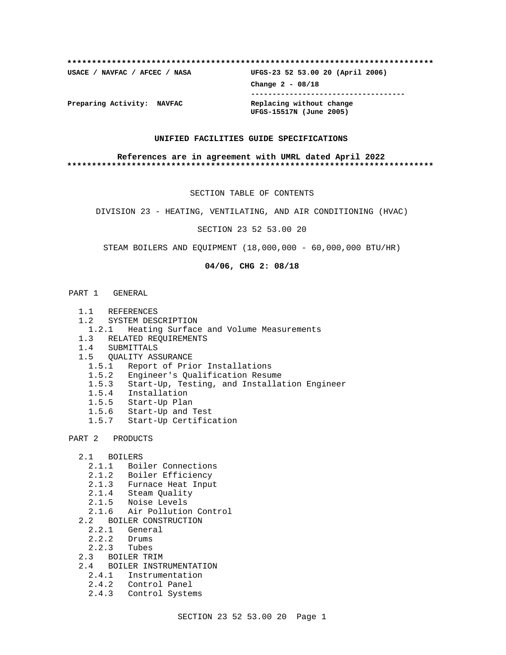| USACE / NAVFAC / AFCEC / NASA | UFGS-23 52 53.00 20 (April 2006)                    |
|-------------------------------|-----------------------------------------------------|
|                               | Change $2 - 08/18$                                  |
| Preparing Activity: NAVFAC    | Replacing without change<br>UFGS-15517N (June 2005) |

#### **UNIFIED FACILITIES GUIDE SPECIFICATIONS**

#### **References are in agreement with UMRL dated April 2022 \*\*\*\*\*\*\*\*\*\*\*\*\*\*\*\*\*\*\*\*\*\*\*\*\*\*\*\*\*\*\*\*\*\*\*\*\*\*\*\*\*\*\*\*\*\*\*\*\*\*\*\*\*\*\*\*\*\*\*\*\*\*\*\*\*\*\*\*\*\*\*\*\*\***

#### SECTION TABLE OF CONTENTS

DIVISION 23 - HEATING, VENTILATING, AND AIR CONDITIONING (HVAC)

#### SECTION 23 52 53.00 20

STEAM BOILERS AND EQUIPMENT (18,000,000 - 60,000,000 BTU/HR)

### **04/06, CHG 2: 08/18**

# PART 1 GENERAL

- 1.1 REFERENCES
- 1.2 SYSTEM DESCRIPTION
- 1.2.1 Heating Surface and Volume Measurements
- 1.3 RELATED REQUIREMENTS
- 1.4 SUBMITTALS
- 1.5 QUALITY ASSURANCE
	- 1.5.1 Report of Prior Installations
	- 1.5.2 Engineer's Qualification Resume
	- 1.5.3 Start-Up, Testing, and Installation Engineer
	- 1.5.4 Installation
	- 1.5.5 Start-Up Plan
	- 1.5.6 Start-Up and Test
	- 1.5.7 Start-Up Certification

#### PART 2 PRODUCTS

- 2.1 BOILERS
	- 2.1.1 Boiler Connections
	- 2.1.2 Boiler Efficiency
	- 2.1.3 Furnace Heat Input
	- 2.1.4 Steam Quality
	- 2.1.5 Noise Levels<br>2.1.6 Air Pollution
	- Air Pollution Control
- 2.2 BOILER CONSTRUCTION
	- 2.2.1 General
	- 2.2.2 Drums
	- 2.2.3 Tubes
- 2.3 BOILER TRIM
- 2.4 BOILER INSTRUMENTATION
	- 2.4.1 Instrumentation
	- 2.4.2 Control Panel
	- 2.4.3 Control Systems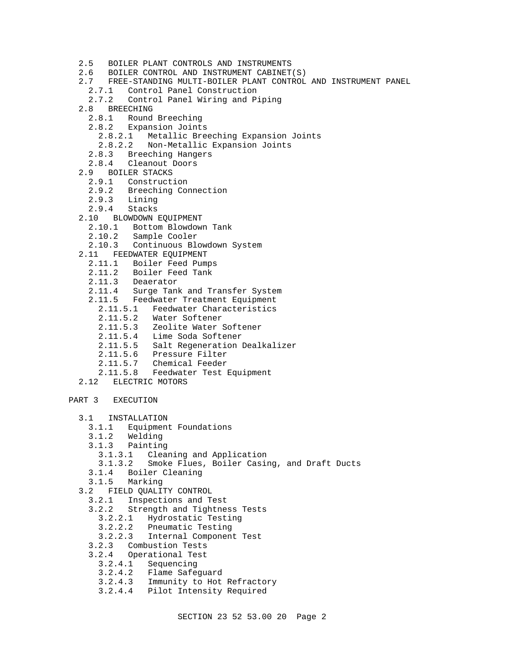- 2.5 BOILER PLANT CONTROLS AND INSTRUMENTS
- 2.6 BOILER CONTROL AND INSTRUMENT CABINET(S)
- 2.7 FREE-STANDING MULTI-BOILER PLANT CONTROL AND INSTRUMENT PANEL
- 2.7.1 Control Panel Construction
- 2.7.2 Control Panel Wiring and Piping
- 2.8 BREECHING
	- 2.8.1 Round Breeching
	- 2.8.2 Expansion Joints
		- 2.8.2.1 Metallic Breeching Expansion Joints
		- 2.8.2.2 Non-Metallic Expansion Joints
	- 2.8.3 Breeching Hangers
	- 2.8.4 Cleanout Doors
- 2.9 BOILER STACKS
	- 2.9.1 Construction
	- 2.9.2 Breeching Connection<br>2.9.3 Lining
	- Lining
	- 2.9.4 Stacks
- 2.10 BLOWDOWN EQUIPMENT
	- 2.10.1 Bottom Blowdown Tank
	- 2.10.2 Sample Cooler
- 2.10.3 Continuous Blowdown System
- 2.11 FEEDWATER EQUIPMENT
	- 2.11.1 Boiler Feed Pumps
	- 2.11.2 Boiler Feed Tank
	- 2.11.3 Deaerator
	- 2.11.4 Surge Tank and Transfer System
	- 2.11.5 Feedwater Treatment Equipment
		- 2.11.5.1 Feedwater Characteristics
		- 2.11.5.2 Water Softener
- 2.11.5.3 Zeolite Water Softener
- 2.11.5.4 Lime Soda Softener
	- 2.11.5.5 Salt Regeneration Dealkalizer
	- 2.11.5.6 Pressure Filter
	- 2.11.5.7 Chemical Feeder
	- 2.11.5.8 Feedwater Test Equipment
	- 2.12 ELECTRIC MOTORS
- PART 3 EXECUTION
	- 3.1 INSTALLATION
		- 3.1.1 Equipment Foundations
		- 3.1.2 Welding
		- 3.1.3 Painting
			- 3.1.3.1 Cleaning and Application
			- 3.1.3.2 Smoke Flues, Boiler Casing, and Draft Ducts
		- 3.1.4 Boiler Cleaning
		- 3.1.5 Marking
	- 3.2 FIELD QUALITY CONTROL
		- 3.2.1 Inspections and Test
		- 3.2.2 Strength and Tightness Tests
			- 3.2.2.1 Hydrostatic Testing
			- 3.2.2.2 Pneumatic Testing
			- 3.2.2.3 Internal Component Test
- 3.2.3 Combustion Tests
- 3.2.4 Operational Test
	- 3.2.4.1 Sequencing
		- 3.2.4.2 Flame Safeguard
		- 3.2.4.3 Immunity to Hot Refractory
	- 3.2.4.4 Pilot Intensity Required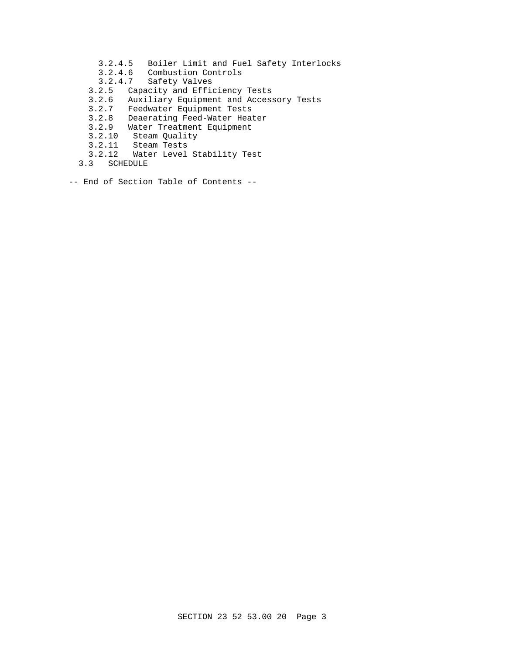- 3.2.4.5 Boiler Limit and Fuel Safety Interlocks
- 3.2.4.6 Combustion Controls
- 3.2.4.7 Safety Valves
- 3.2.5 Capacity and Efficiency Tests
- 3.2.6 Auxiliary Equipment and Accessory Tests
- 3.2.7 Feedwater Equipment Tests
- 3.2.8 Deaerating Feed-Water Heater
	- 3.2.9 Water Treatment Equipment
	- 3.2.10 Steam Quality
	- 3.2.11 Steam Tests
	- 3.2.12 Water Level Stability Test
	- 3.3 SCHEDULE
- -- End of Section Table of Contents --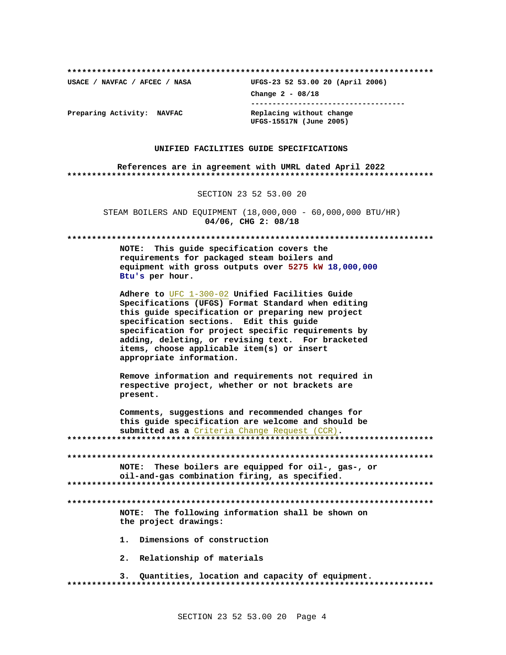**\*\*\*\*\*\*\*\*\*\*\*\*\*\*\*\*\*\*\*\*\*\*\*\*\*\*\*\*\*\*\*\*\*\*\*\*\*\*\*\*\*\*\*\*\*\*\*\*\*\*\*\*\*\*\*\*\*\*\*\*\*\*\*\*\*\*\*\*\*\*\*\*\*\* USACE / NAVFAC / AFCEC / NASA UFGS-23 52 53.00 20 (April 2006) Change 2 - 08/18 ------------------------------------ Preparing Activity: NAVFAC Replacing without change**

**UNIFIED FACILITIES GUIDE SPECIFICATIONS**

**UFGS-15517N (June 2005)**

**References are in agreement with UMRL dated April 2022 \*\*\*\*\*\*\*\*\*\*\*\*\*\*\*\*\*\*\*\*\*\*\*\*\*\*\*\*\*\*\*\*\*\*\*\*\*\*\*\*\*\*\*\*\*\*\*\*\*\*\*\*\*\*\*\*\*\*\*\*\*\*\*\*\*\*\*\*\*\*\*\*\*\***

SECTION 23 52 53.00 20

STEAM BOILERS AND EQUIPMENT (18,000,000 - 60,000,000 BTU/HR) **04/06, CHG 2: 08/18**

**\*\*\*\*\*\*\*\*\*\*\*\*\*\*\*\*\*\*\*\*\*\*\*\*\*\*\*\*\*\*\*\*\*\*\*\*\*\*\*\*\*\*\*\*\*\*\*\*\*\*\*\*\*\*\*\*\*\*\*\*\*\*\*\*\*\*\*\*\*\*\*\*\*\***

**NOTE: This guide specification covers the requirements for packaged steam boilers and equipment with gross outputs over 5275 kW 18,000,000 Btu's per hour.**

**Adhere to** UFC 1-300-02 **Unified Facilities Guide Specifications (UFGS) Format Standard when editing this guide specification or preparing new project specification sections. Edit this guide specification for project specific requirements by adding, deleting, or revising text. For bracketed items, choose applicable item(s) or insert appropriate information.**

**Remove information and requirements not required in respective project, whether or not brackets are present.**

**Comments, suggestions and recommended changes for this guide specification are welcome and should be submitted as a** Criteria Change Request (CCR)**. \*\*\*\*\*\*\*\*\*\*\*\*\*\*\*\*\*\*\*\*\*\*\*\*\*\*\*\*\*\*\*\*\*\*\*\*\*\*\*\*\*\*\*\*\*\*\*\*\*\*\*\*\*\*\*\*\*\*\*\*\*\*\*\*\*\*\*\*\*\*\*\*\*\***

**\*\*\*\*\*\*\*\*\*\*\*\*\*\*\*\*\*\*\*\*\*\*\*\*\*\*\*\*\*\*\*\*\*\*\*\*\*\*\*\*\*\*\*\*\*\*\*\*\*\*\*\*\*\*\*\*\*\*\*\*\*\*\*\*\*\*\*\*\*\*\*\*\*\* NOTE: These boilers are equipped for oil-, gas-, or oil-and-gas combination firing, as specified. \*\*\*\*\*\*\*\*\*\*\*\*\*\*\*\*\*\*\*\*\*\*\*\*\*\*\*\*\*\*\*\*\*\*\*\*\*\*\*\*\*\*\*\*\*\*\*\*\*\*\*\*\*\*\*\*\*\*\*\*\*\*\*\*\*\*\*\*\*\*\*\*\*\***

**\*\*\*\*\*\*\*\*\*\*\*\*\*\*\*\*\*\*\*\*\*\*\*\*\*\*\*\*\*\*\*\*\*\*\*\*\*\*\*\*\*\*\*\*\*\*\*\*\*\*\*\*\*\*\*\*\*\*\*\*\*\*\*\*\*\*\*\*\*\*\*\*\*\***

**NOTE: The following information shall be shown on the project drawings:**

- **1. Dimensions of construction**
- **2. Relationship of materials**

**3. Quantities, location and capacity of equipment. \*\*\*\*\*\*\*\*\*\*\*\*\*\*\*\*\*\*\*\*\*\*\*\*\*\*\*\*\*\*\*\*\*\*\*\*\*\*\*\*\*\*\*\*\*\*\*\*\*\*\*\*\*\*\*\*\*\*\*\*\*\*\*\*\*\*\*\*\*\*\*\*\*\***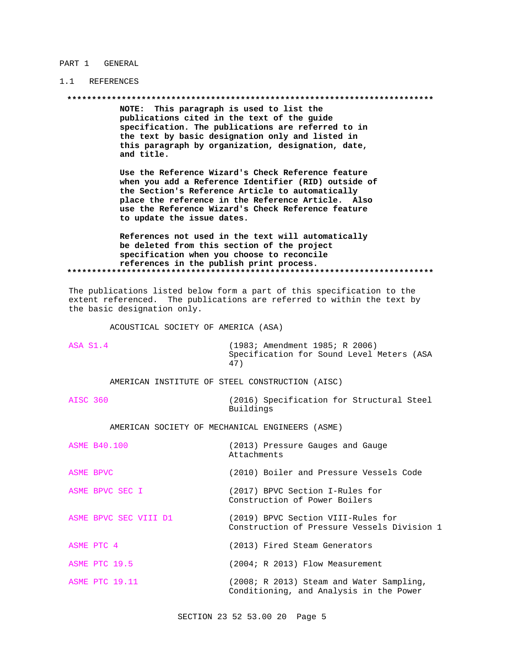#### PART 1 GENERAL

# 1.1 REFERENCES

NOTE: This paragraph is used to list the publications cited in the text of the guide specification. The publications are referred to in the text by basic designation only and listed in this paragraph by organization, designation, date, and title.

Use the Reference Wizard's Check Reference feature when you add a Reference Identifier (RID) outside of the Section's Reference Article to automatically place the reference in the Reference Article. Also use the Reference Wizard's Check Reference feature to update the issue dates.

References not used in the text will automatically be deleted from this section of the project specification when you choose to reconcile references in the publish print process. 

The publications listed below form a part of this specification to the extent referenced. The publications are referred to within the text by the basic designation only.

ACOUSTICAL SOCIETY OF AMERICA (ASA)

ASA S1.4 (1983; Amendment 1985; R 2006) Specification for Sound Level Meters (ASA 47)

AMERICAN INSTITUTE OF STEEL CONSTRUCTION (AISC)

| AISC 360 |           | (2016) Specification for Structural Steel |  |  |
|----------|-----------|-------------------------------------------|--|--|
|          | Buildings |                                           |  |  |

AMERICAN SOCIETY OF MECHANICAL ENGINEERS (ASME)

| <b>ASME B40.100</b>   | (2013) Pressure Gauges and Gauge<br>Attachments                                       |
|-----------------------|---------------------------------------------------------------------------------------|
| ASME BPVC             | (2010) Boiler and Pressure Vessels Code                                               |
| ASME BPVC SEC I       | (2017) BPVC Section I-Rules for<br>Construction of Power Boilers                      |
| ASME BPVC SEC VIII D1 | (2019) BPVC Section VIII-Rules for<br>Construction of Pressure Vessels Division       |
| ASME PTC 4            | (2013) Fired Steam Generators                                                         |
| ASME PTC 19.5         | (2004; R 2013) Flow Measurement                                                       |
| ASME PTC 19.11        | $(2008; R 2013)$ Steam and Water Sampling,<br>Conditioning, and Analysis in the Power |

 $\mathbf{1}$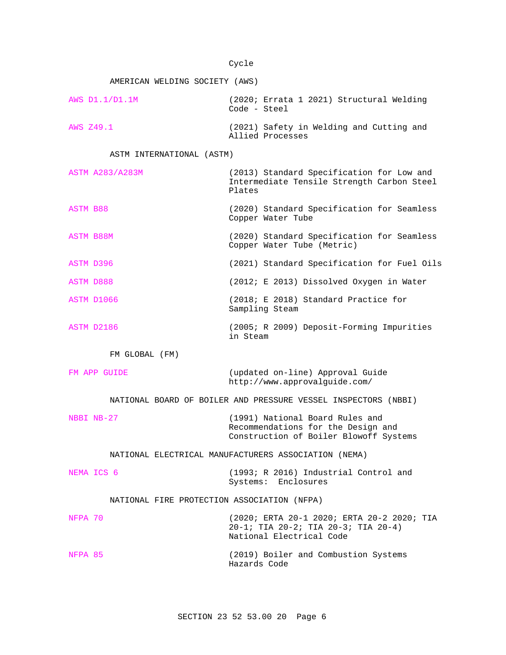# Cycle

# AMERICAN WELDING SOCIETY (AWS)

| AWS D1.1/D1.1M | Code - Steel | (2020; Errata 1 2021) Structural Welding                     |
|----------------|--------------|--------------------------------------------------------------|
| AWS Z49.1      |              | (2021) Safety in Welding and Cutting and<br>Allied Processes |

# ASTM INTERNATIONAL (ASTM)

| <b>ASTM A283/A283M</b> | (2013) Standard Specification for Low and<br>Intermediate Tensile Strength Carbon Steel<br>Plates               |
|------------------------|-----------------------------------------------------------------------------------------------------------------|
| ASTM B88               | (2020) Standard Specification for Seamless<br>Copper Water Tube                                                 |
| <b>ASTM B88M</b>       | (2020) Standard Specification for Seamless<br>Copper Water Tube (Metric)                                        |
| ASTM D396              | (2021) Standard Specification for Fuel Oils                                                                     |
| <b>ASTM D888</b>       | (2012; E 2013) Dissolved Oxygen in Water                                                                        |
| ASTM D1066             | (2018; E 2018) Standard Practice for<br>Sampling Steam                                                          |
| ASTM D2186             | (2005; R 2009) Deposit-Forming Impurities<br>in Steam                                                           |
| FM GLOBAL (FM)         |                                                                                                                 |
| FM APP GUIDE           | (updated on-line) Approval Guide<br>http://www.approvalguide.com/                                               |
|                        | NATIONAL BOARD OF BOILER AND PRESSURE VESSEL INSPECTORS (NBBI)                                                  |
| NBBI NB-27             | (1991) National Board Rules and<br>Recommendations for the Design and<br>Construction of Boiler Blowoff Systems |

NATIONAL ELECTRICAL MANUFACTURERS ASSOCIATION (NEMA)

| NEMA ICS 6 |  |                     |  | (1993; R 2016) Industrial Control and |  |
|------------|--|---------------------|--|---------------------------------------|--|
|            |  | Systems: Enclosures |  |                                       |  |

# NATIONAL FIRE PROTECTION ASSOCIATION (NFPA)

| NFPA 70 | (2020; ERTA 20-1 2020; ERTA 20-2 2020; TIA<br>$20-1;$ TIA $20-2;$ TIA $20-3;$ TIA $20-4)$<br>National Electrical Code |  |
|---------|-----------------------------------------------------------------------------------------------------------------------|--|
| NFPA 85 | (2019) Boiler and Combustion Systems<br>Hazards Code                                                                  |  |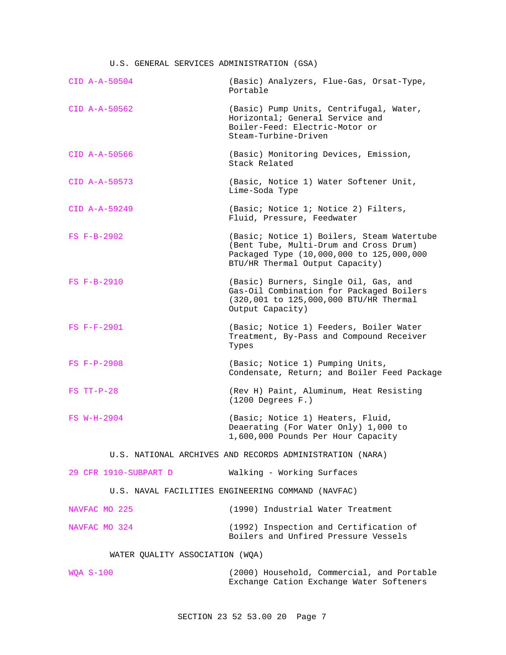U.S. GENERAL SERVICES ADMINISTRATION (GSA)

| CID A-A-50504                                      | (Basic) Analyzers, Flue-Gas, Orsat-Type,<br>Portable                                                                                                                |  |
|----------------------------------------------------|---------------------------------------------------------------------------------------------------------------------------------------------------------------------|--|
| $CID A-A-50562$                                    | (Basic) Pump Units, Centrifugal, Water,<br>Horizontal; General Service and<br>Boiler-Feed: Electric-Motor or<br>Steam-Turbine-Driven                                |  |
| $CID A-A-50566$                                    | (Basic) Monitoring Devices, Emission,<br>Stack Related                                                                                                              |  |
| CID A-A-50573                                      | (Basic, Notice 1) Water Softener Unit,<br>Lime-Soda Type                                                                                                            |  |
| CID A-A-59249                                      | (Basic; Notice 1; Notice 2) Filters,<br>Fluid, Pressure, Feedwater                                                                                                  |  |
| $FS$ $F-B-2902$                                    | (Basic; Notice 1) Boilers, Steam Watertube<br>(Bent Tube, Multi-Drum and Cross Drum)<br>Packaged Type (10,000,000 to 125,000,000<br>BTU/HR Thermal Output Capacity) |  |
| $FS$ $F-B-2910$                                    | (Basic) Burners, Single Oil, Gas, and<br>Gas-Oil Combination for Packaged Boilers<br>(320,001 to 125,000,000 BTU/HR Thermal<br>Output Capacity)                     |  |
| $FS$ $F-F-2901$                                    | (Basic; Notice 1) Feeders, Boiler Water<br>Treatment, By-Pass and Compound Receiver<br>Types                                                                        |  |
| $FS$ $F-P-2908$                                    | (Basic; Notice 1) Pumping Units,<br>Condensate, Return; and Boiler Feed Package                                                                                     |  |
| $FS$ TT-P-28                                       | (Rev H) Paint, Aluminum, Heat Resisting<br>$(1200$ Degrees $F.$ )                                                                                                   |  |
| $FS W-H-2904$                                      | (Basic; Notice 1) Heaters, Fluid,<br>Deaerating (For Water Only) 1,000 to<br>1,600,000 Pounds Per Hour Capacity                                                     |  |
|                                                    | U.S. NATIONAL ARCHIVES AND RECORDS ADMINISTRATION (NARA)                                                                                                            |  |
| 29 CFR 1910-SUBPART D                              | Walking - Working Surfaces                                                                                                                                          |  |
| U.S. NAVAL FACILITIES ENGINEERING COMMAND (NAVFAC) |                                                                                                                                                                     |  |
| NAVFAC MO 225                                      | (1990) Industrial Water Treatment                                                                                                                                   |  |
| NAVFAC MO 324                                      | (1992) Inspection and Certification of<br>Boilers and Unfired Pressure Vessels                                                                                      |  |
| WATER QUALITY ASSOCIATION (WQA)                    |                                                                                                                                                                     |  |
| $WOA S-100$                                        | (2000) Household, Commercial, and Portable                                                                                                                          |  |

Exchange Cation Exchange Water Softeners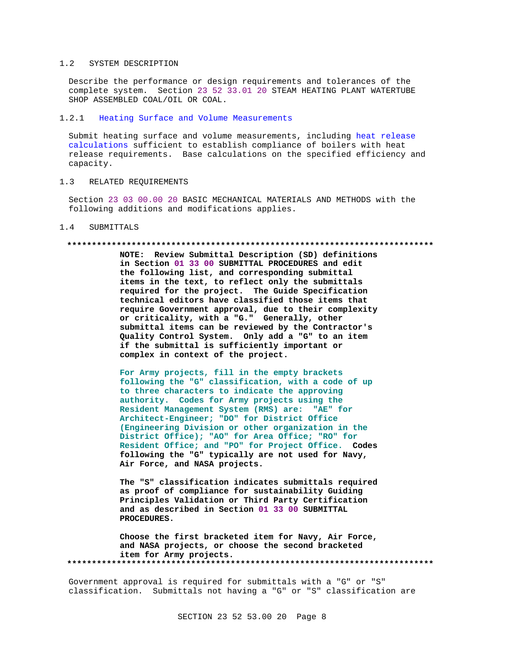#### 1.2 SYSTEM DESCRIPTION

Describe the performance or design requirements and tolerances of the complete system. Section 23 52 33.01 20 STEAM HEATING PLANT WATERTUBE SHOP ASSEMBLED COAL/OIL OR COAL.

### 1.2.1 Heating Surface and Volume Measurements

Submit heating surface and volume measurements, including heat release calculations sufficient to establish compliance of boilers with heat release requirements. Base calculations on the specified efficiency and capacity.

### 1.3 RELATED REQUIREMENTS

Section 23 03 00.00 20 BASIC MECHANICAL MATERIALS AND METHODS with the following additions and modifications applies.

#### 1.4 SUBMITTALS

#### **\*\*\*\*\*\*\*\*\*\*\*\*\*\*\*\*\*\*\*\*\*\*\*\*\*\*\*\*\*\*\*\*\*\*\*\*\*\*\*\*\*\*\*\*\*\*\*\*\*\*\*\*\*\*\*\*\*\*\*\*\*\*\*\*\*\*\*\*\*\*\*\*\*\***

**NOTE: Review Submittal Description (SD) definitions in Section 01 33 00 SUBMITTAL PROCEDURES and edit the following list, and corresponding submittal items in the text, to reflect only the submittals required for the project. The Guide Specification technical editors have classified those items that require Government approval, due to their complexity or criticality, with a "G." Generally, other submittal items can be reviewed by the Contractor's Quality Control System. Only add a "G" to an item if the submittal is sufficiently important or complex in context of the project.**

**For Army projects, fill in the empty brackets following the "G" classification, with a code of up to three characters to indicate the approving authority. Codes for Army projects using the Resident Management System (RMS) are: "AE" for Architect-Engineer; "DO" for District Office (Engineering Division or other organization in the District Office); "AO" for Area Office; "RO" for Resident Office; and "PO" for Project Office. Codes following the "G" typically are not used for Navy, Air Force, and NASA projects.**

**The "S" classification indicates submittals required as proof of compliance for sustainability Guiding Principles Validation or Third Party Certification and as described in Section 01 33 00 SUBMITTAL PROCEDURES.**

**Choose the first bracketed item for Navy, Air Force, and NASA projects, or choose the second bracketed item for Army projects. \*\*\*\*\*\*\*\*\*\*\*\*\*\*\*\*\*\*\*\*\*\*\*\*\*\*\*\*\*\*\*\*\*\*\*\*\*\*\*\*\*\*\*\*\*\*\*\*\*\*\*\*\*\*\*\*\*\*\*\*\*\*\*\*\*\*\*\*\*\*\*\*\*\***

Government approval is required for submittals with a "G" or "S" classification. Submittals not having a "G" or "S" classification are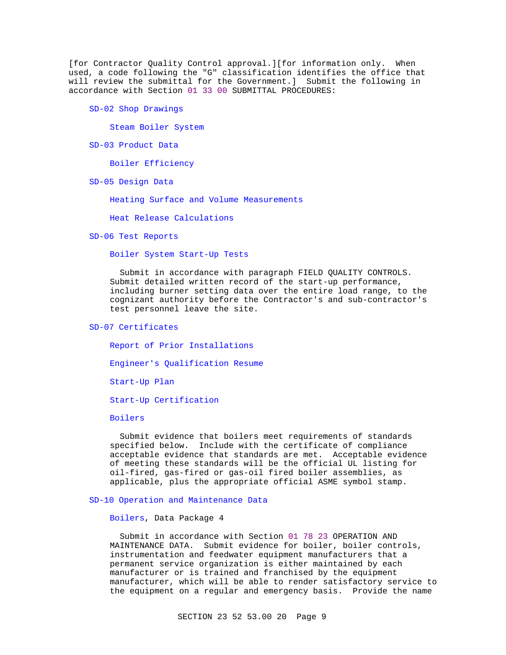[for Contractor Quality Control approval.][for information only. When used, a code following the "G" classification identifies the office that will review the submittal for the Government.] Submit the following in accordance with Section 01 33 00 SUBMITTAL PROCEDURES:

SD-02 Shop Drawings

Steam Boiler System

SD-03 Product Data

Boiler Efficiency

SD-05 Design Data

Heating Surface and Volume Measurements

Heat Release Calculations

## SD-06 Test Reports

Boiler System Start-Up Tests

 Submit in accordance with paragraph FIELD QUALITY CONTROLS. Submit detailed written record of the start-up performance, including burner setting data over the entire load range, to the cognizant authority before the Contractor's and sub-contractor's test personnel leave the site.

# SD-07 Certificates

Report of Prior Installations

Engineer's Qualification Resume

Start-Up Plan

Start-Up Certification

#### Boilers

 Submit evidence that boilers meet requirements of standards specified below. Include with the certificate of compliance acceptable evidence that standards are met. Acceptable evidence of meeting these standards will be the official UL listing for oil-fired, gas-fired or gas-oil fired boiler assemblies, as applicable, plus the appropriate official ASME symbol stamp.

#### SD-10 Operation and Maintenance Data

Boilers, Data Package 4

 Submit in accordance with Section 01 78 23 OPERATION AND MAINTENANCE DATA. Submit evidence for boiler, boiler controls, instrumentation and feedwater equipment manufacturers that a permanent service organization is either maintained by each manufacturer or is trained and franchised by the equipment manufacturer, which will be able to render satisfactory service to the equipment on a regular and emergency basis. Provide the name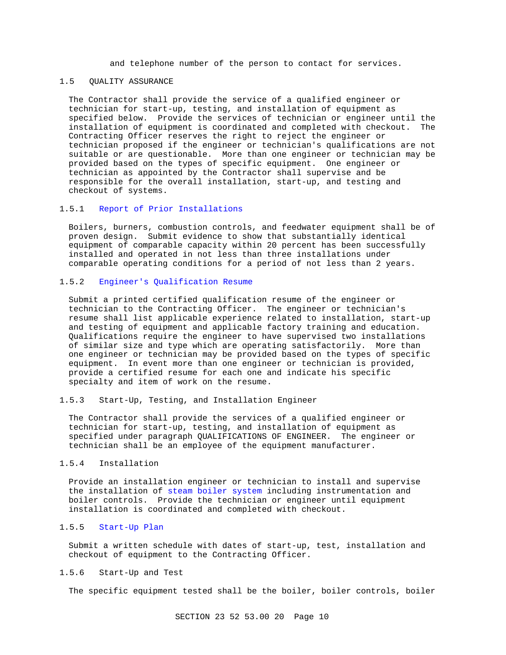and telephone number of the person to contact for services.

### 1.5 QUALITY ASSURANCE

The Contractor shall provide the service of a qualified engineer or technician for start-up, testing, and installation of equipment as specified below. Provide the services of technician or engineer until the installation of equipment is coordinated and completed with checkout. The Contracting Officer reserves the right to reject the engineer or technician proposed if the engineer or technician's qualifications are not suitable or are questionable. More than one engineer or technician may be provided based on the types of specific equipment. One engineer or technician as appointed by the Contractor shall supervise and be responsible for the overall installation, start-up, and testing and checkout of systems.

#### 1.5.1 Report of Prior Installations

Boilers, burners, combustion controls, and feedwater equipment shall be of proven design. Submit evidence to show that substantially identical equipment of comparable capacity within 20 percent has been successfully installed and operated in not less than three installations under comparable operating conditions for a period of not less than 2 years.

# 1.5.2 Engineer's Qualification Resume

Submit a printed certified qualification resume of the engineer or technician to the Contracting Officer. The engineer or technician's resume shall list applicable experience related to installation, start-up and testing of equipment and applicable factory training and education. Qualifications require the engineer to have supervised two installations of similar size and type which are operating satisfactorily. More than one engineer or technician may be provided based on the types of specific equipment. In event more than one engineer or technician is provided, provide a certified resume for each one and indicate his specific specialty and item of work on the resume.

### 1.5.3 Start-Up, Testing, and Installation Engineer

The Contractor shall provide the services of a qualified engineer or technician for start-up, testing, and installation of equipment as specified under paragraph QUALIFICATIONS OF ENGINEER. The engineer or technician shall be an employee of the equipment manufacturer.

# 1.5.4 Installation

Provide an installation engineer or technician to install and supervise the installation of steam boiler system including instrumentation and boiler controls. Provide the technician or engineer until equipment installation is coordinated and completed with checkout.

# 1.5.5 Start-Up Plan

Submit a written schedule with dates of start-up, test, installation and checkout of equipment to the Contracting Officer.

# 1.5.6 Start-Up and Test

The specific equipment tested shall be the boiler, boiler controls, boiler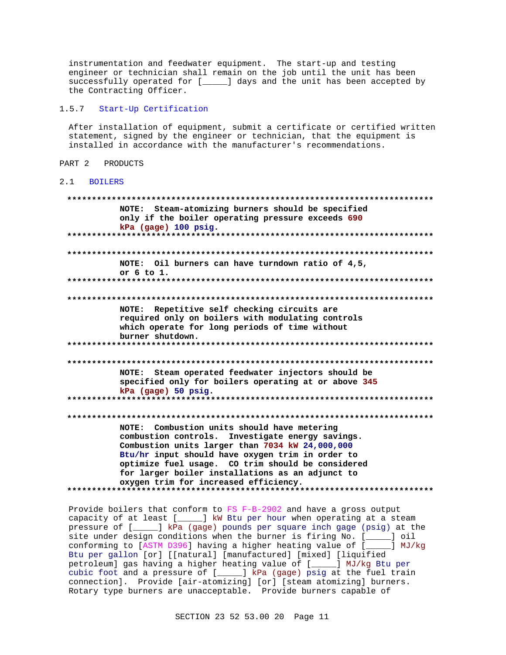instrumentation and feedwater equipment. The start-up and testing engineer or technician shall remain on the job until the unit has been successfully operated for [\_\_\_\_\_] days and the unit has been accepted by the Contracting Officer.

#### $1.5.7$ Start-Up Certification

After installation of equipment, submit a certificate or certified written statement, signed by the engineer or technician, that the equipment is installed in accordance with the manufacturer's recommendations.

#### PART 2 PRODUCTS

#### 2.1 BOILERS

NOTE: Steam-atomizing burners should be specified only if the boiler operating pressure exceeds 690 kPa (gage) 100 psig. NOTE: Oil burners can have turndown ratio of 4,5, or  $6$  to  $1.$ NOTE: Repetitive self checking circuits are required only on boilers with modulating controls which operate for long periods of time without burner shutdown. NOTE: Steam operated feedwater injectors should be specified only for boilers operating at or above 345 kPa (gage) 50 psig. \*\*\*\*\*\*\*\*\*\*\*\*\*\*\*\*\*\*\*\*\*\*\*\* NOTE: Combustion units should have metering combustion controls. Investigate energy savings. Combustion units larger than 7034 kW 24,000,000 Btu/hr input should have oxygen trim in order to optimize fuel usage. CO trim should be considered for larger boiler installations as an adjunct to oxygen trim for increased efficiency. 

Provide boilers that conform to FS F-B-2902 and have a gross output capacity of at least [\_\_\_\_\_] kW Btu per hour when operating at a steam pressure of [\_\_\_\_] kPa (gage) pounds per square inch gage (psig) at the site under design conditions when the burner is firing No. [\_\_\_\_] oil conforming to [ASTM D396] having a higher heating value of [\_\_\_\_] MJ/kg Btu per gallon [or] [[natural] [manufactured] [mixed] [liquified petroleum] gas having a higher heating value of [\_\_\_\_\_] MJ/kg Btu per cubic foot and a pressure of [\_\_\_\_] kPa (gage) psig at the fuel train connection]. Provide [air-atomizing] [or] [steam atomizing] burners. Rotary type burners are unacceptable. Provide burners capable of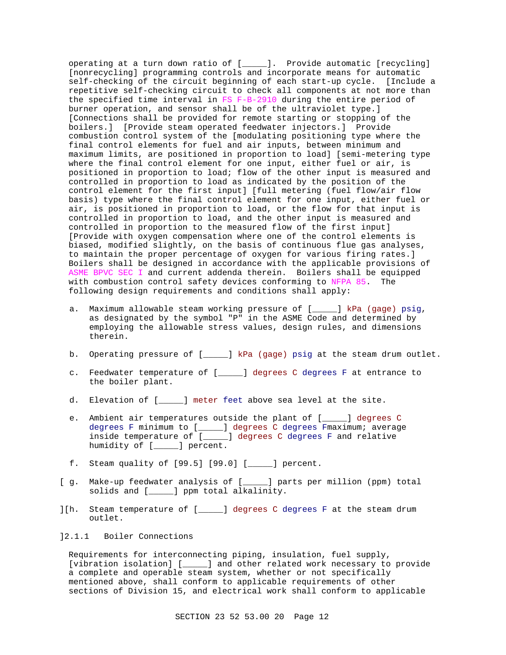operating at a turn down ratio of [\_\_\_\_\_]. Provide automatic [recycling] [nonrecycling] programming controls and incorporate means for automatic self-checking of the circuit beginning of each start-up cycle. [Include a repetitive self-checking circuit to check all components at not more than the specified time interval in FS F-B-2910 during the entire period of burner operation, and sensor shall be of the ultraviolet type.] [Connections shall be provided for remote starting or stopping of the boilers.] [Provide steam operated feedwater injectors.] Provide combustion control system of the [modulating positioning type where the final control elements for fuel and air inputs, between minimum and maximum limits, are positioned in proportion to load] [semi-metering type where the final control element for one input, either fuel or air, is positioned in proportion to load; flow of the other input is measured and controlled in proportion to load as indicated by the position of the control element for the first input] [full metering (fuel flow/air flow basis) type where the final control element for one input, either fuel or air, is positioned in proportion to load, or the flow for that input is controlled in proportion to load, and the other input is measured and controlled in proportion to the measured flow of the first input] [Provide with oxygen compensation where one of the control elements is biased, modified slightly, on the basis of continuous flue gas analyses, to maintain the proper percentage of oxygen for various firing rates.] Boilers shall be designed in accordance with the applicable provisions of ASME BPVC SEC I and current addenda therein. Boilers shall be equipped with combustion control safety devices conforming to NFPA 85. The following design requirements and conditions shall apply:

- a. Maximum allowable steam working pressure of [\_\_\_\_\_] kPa (gage) psig, as designated by the symbol "P" in the ASME Code and determined by employing the allowable stress values, design rules, and dimensions therein.
- b. Operating pressure of [\_\_\_\_\_] kPa (gage) psig at the steam drum outlet.
- c. Feedwater temperature of [\_\_\_\_\_] degrees C degrees F at entrance to the boiler plant.
- d. Elevation of [\_\_\_\_\_] meter feet above sea level at the site.
- e. Ambient air temperatures outside the plant of [\_\_\_\_\_] degrees C degrees F minimum to [\_\_\_\_\_] degrees C degrees Fmaximum; average inside temperature of [\_\_\_\_\_] degrees C degrees F and relative humidity of [\_\_\_\_\_] percent.
- f. Steam quality of [99.5] [99.0] [\_\_\_\_\_] percent.
- [ g. Make-up feedwater analysis of [\_\_\_\_\_] parts per million (ppm) total solids and [\_\_\_\_\_] ppm total alkalinity.
- ][h. Steam temperature of [\_\_\_\_\_] degrees C degrees F at the steam drum outlet.

### ]2.1.1 Boiler Connections

Requirements for interconnecting piping, insulation, fuel supply, [vibration isolation] [\_\_\_\_\_] and other related work necessary to provide a complete and operable steam system, whether or not specifically mentioned above, shall conform to applicable requirements of other sections of Division 15, and electrical work shall conform to applicable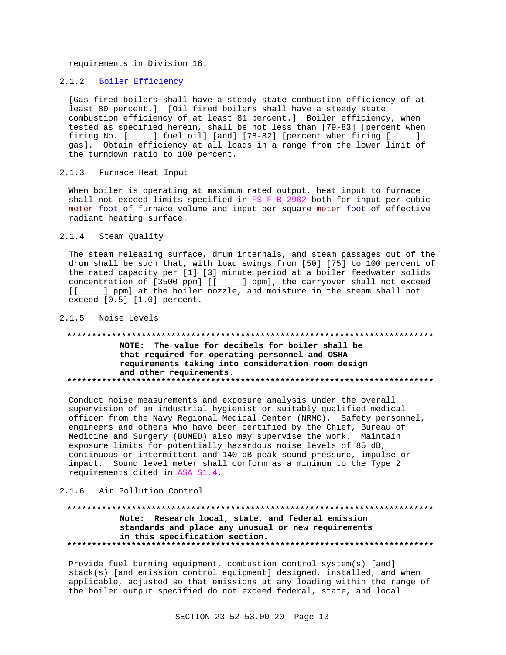requirements in Division 16.

#### $2.1.2$ Boiler Efficiency

[Gas fired boilers shall have a steady state combustion efficiency of at least 80 percent.] [Oil fired boilers shall have a steady state combustion efficiency of at least 81 percent.] Boiler efficiency, when tested as specified herein, shall be not less than [79-83] [percent when firing No. [\_\_\_\_\_] fuel oil] [and] [78-82] [percent when firing [\_\_\_\_\_] gas]. Obtain efficiency at all loads in a range from the lower limit of the turndown ratio to 100 percent.

#### $2.1.3$ Furnace Heat Input

When boiler is operating at maximum rated output, heat input to furnace shall not exceed limits specified in FS F-B-2902 both for input per cubic meter foot of furnace volume and input per square meter foot of effective radiant heating surface.

 $2.1.4$ Steam Quality

The steam releasing surface, drum internals, and steam passages out of the drum shall be such that, with load swings from [50] [75] to 100 percent of the rated capacity per [1] [3] minute period at a boiler feedwater solids concentration of [3500 ppm] [[\_\_\_\_\_] ppm], the carryover shall not exceed [[\_\_\_\_] ppm] at the boiler nozzle, and moisture in the steam shall not exceed [0.5] [1.0] percent.

### 2.1.5 Noise Levels

# NOTE: The value for decibels for boiler shall be that required for operating personnel and OSHA requirements taking into consideration room design and other requirements.

Conduct noise measurements and exposure analysis under the overall supervision of an industrial hygienist or suitably qualified medical officer from the Navy Regional Medical Center (NRMC). Safety personnel, engineers and others who have been certified by the Chief, Bureau of Medicine and Surgery (BUMED) also may supervise the work. Maintain exposure limits for potentially hazardous noise levels of 85 dB, continuous or intermittent and 140 dB peak sound pressure, impulse or impact. Sound level meter shall conform as a minimum to the Type 2 requirements cited in ASA S1.4.

Air Pollution Control  $2.1.6$ 

# Note: Research local, state, and federal emission standards and place any unusual or new requirements in this specification section.

Provide fuel burning equipment, combustion control system(s) [and] stack(s) [and emission control equipment] designed, installed, and when applicable, adjusted so that emissions at any loading within the range of the boiler output specified do not exceed federal, state, and local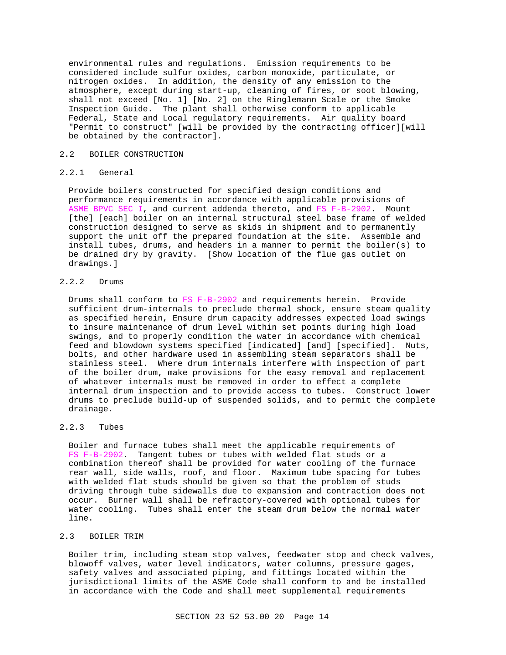environmental rules and regulations. Emission requirements to be considered include sulfur oxides, carbon monoxide, particulate, or nitrogen oxides. In addition, the density of any emission to the atmosphere, except during start-up, cleaning of fires, or soot blowing, shall not exceed [No. 1] [No. 2] on the Ringlemann Scale or the Smoke Inspection Guide. The plant shall otherwise conform to applicable Federal, State and Local regulatory requirements. Air quality board "Permit to construct" [will be provided by the contracting officer][will be obtained by the contractor].

#### 2.2 BOILER CONSTRUCTION

#### 2.2.1 General

Provide boilers constructed for specified design conditions and performance requirements in accordance with applicable provisions of ASME BPVC SEC I, and current addenda thereto, and FS F-B-2902. Mount [the] [each] boiler on an internal structural steel base frame of welded construction designed to serve as skids in shipment and to permanently support the unit off the prepared foundation at the site. Assemble and install tubes, drums, and headers in a manner to permit the boiler(s) to be drained dry by gravity. [Show location of the flue gas outlet on drawings.]

# 2.2.2 Drums

Drums shall conform to FS F-B-2902 and requirements herein. Provide sufficient drum-internals to preclude thermal shock, ensure steam quality as specified herein, Ensure drum capacity addresses expected load swings to insure maintenance of drum level within set points during high load swings, and to properly condition the water in accordance with chemical feed and blowdown systems specified [indicated] [and] [specified]. Nuts, bolts, and other hardware used in assembling steam separators shall be stainless steel. Where drum internals interfere with inspection of part of the boiler drum, make provisions for the easy removal and replacement of whatever internals must be removed in order to effect a complete internal drum inspection and to provide access to tubes. Construct lower drums to preclude build-up of suspended solids, and to permit the complete drainage.

# 2.2.3 Tubes

Boiler and furnace tubes shall meet the applicable requirements of FS F-B-2902. Tangent tubes or tubes with welded flat studs or a combination thereof shall be provided for water cooling of the furnace rear wall, side walls, roof, and floor. Maximum tube spacing for tubes with welded flat studs should be given so that the problem of studs driving through tube sidewalls due to expansion and contraction does not occur. Burner wall shall be refractory-covered with optional tubes for water cooling. Tubes shall enter the steam drum below the normal water line.

### 2.3 BOILER TRIM

Boiler trim, including steam stop valves, feedwater stop and check valves, blowoff valves, water level indicators, water columns, pressure gages, safety valves and associated piping, and fittings located within the jurisdictional limits of the ASME Code shall conform to and be installed in accordance with the Code and shall meet supplemental requirements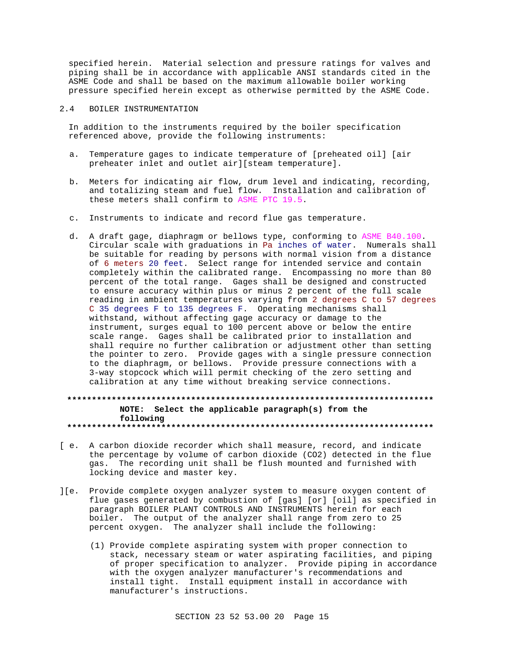specified herein. Material selection and pressure ratings for valves and piping shall be in accordance with applicable ANSI standards cited in the ASME Code and shall be based on the maximum allowable boiler working pressure specified herein except as otherwise permitted by the ASME Code.

#### $2.4$ BOILER INSTRUMENTATION

In addition to the instruments required by the boiler specification referenced above, provide the following instruments:

- a. Temperature gages to indicate temperature of [preheated oil] [air preheater inlet and outlet air][steam temperature].
- b. Meters for indicating air flow, drum level and indicating, recording, and totalizing steam and fuel flow. Installation and calibration of these meters shall confirm to ASME PTC 19.5.
- c. Instruments to indicate and record flue gas temperature.
- d. A draft gage, diaphragm or bellows type, conforming to ASME B40.100. Circular scale with graduations in Pa inches of water. Numerals shall be suitable for reading by persons with normal vision from a distance of 6 meters 20 feet. Select range for intended service and contain completely within the calibrated range. Encompassing no more than 80 percent of the total range. Gages shall be designed and constructed to ensure accuracy within plus or minus 2 percent of the full scale reading in ambient temperatures varying from 2 degrees C to 57 degrees C 35 degrees F to 135 degrees F. Operating mechanisms shall withstand, without affecting gage accuracy or damage to the instrument, surges equal to 100 percent above or below the entire scale range. Gages shall be calibrated prior to installation and shall require no further calibration or adjustment other than setting the pointer to zero. Provide gages with a single pressure connection to the diaphragm, or bellows. Provide pressure connections with a 3-way stopcock which will permit checking of the zero setting and calibration at any time without breaking service connections.

# NOTE: Select the applicable paragraph(s) from the following

- [e. A carbon dioxide recorder which shall measure, record, and indicate the percentage by volume of carbon dioxide (CO2) detected in the flue gas. The recording unit shall be flush mounted and furnished with locking device and master key.
- ][e. Provide complete oxygen analyzer system to measure oxygen content of flue gases generated by combustion of [gas] [or] [oil] as specified in paragraph BOILER PLANT CONTROLS AND INSTRUMENTS herein for each boiler. The output of the analyzer shall range from zero to 25 percent oxygen. The analyzer shall include the following:
	- (1) Provide complete aspirating system with proper connection to stack, necessary steam or water aspirating facilities, and piping of proper specification to analyzer. Provide piping in accordance with the oxygen analyzer manufacturer's recommendations and install tight. Install equipment install in accordance with manufacturer's instructions.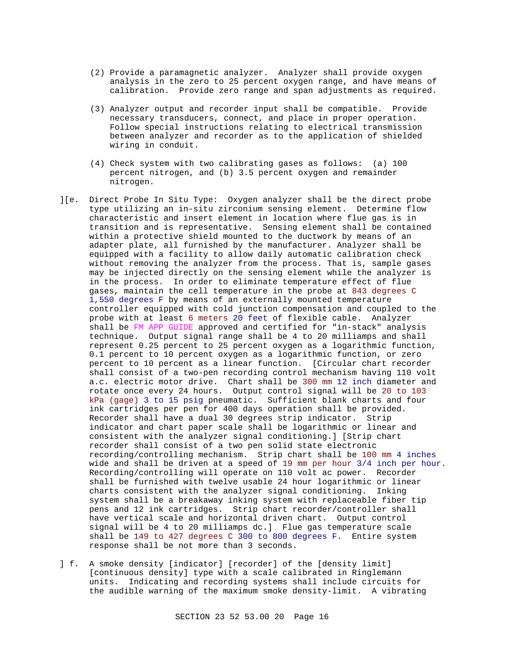- (2) Provide a paramagnetic analyzer. Analyzer shall provide oxygen analysis in the zero to 25 percent oxygen range, and have means of calibration. Provide zero range and span adjustments as required.
- (3) Analyzer output and recorder input shall be compatible. Provide necessary transducers, connect, and place in proper operation. Follow special instructions relating to electrical transmission between analyzer and recorder as to the application of shielded wiring in conduit.
- (4) Check system with two calibrating gases as follows: (a) 100 percent nitrogen, and (b) 3.5 percent oxygen and remainder nitrogen.
- ][e. Direct Probe In Situ Type: Oxygen analyzer shall be the direct probe type utilizing an in-situ zirconium sensing element. Determine flow characteristic and insert element in location where flue gas is in transition and is representative. Sensing element shall be contained within a protective shield mounted to the ductwork by means of an adapter plate, all furnished by the manufacturer. Analyzer shall be equipped with a facility to allow daily automatic calibration check without removing the analyzer from the process. That is, sample gases may be injected directly on the sensing element while the analyzer is in the process. In order to eliminate temperature effect of flue gases, maintain the cell temperature in the probe at 843 degrees C 1,550 degrees F by means of an externally mounted temperature controller equipped with cold junction compensation and coupled to the probe with at least 6 meters 20 feet of flexible cable. Analyzer shall be FM APP GUIDE approved and certified for "in-stack" analysis technique. Output signal range shall be 4 to 20 milliamps and shall represent 0.25 percent to 25 percent oxygen as a logarithmic function, 0.1 percent to 10 percent oxygen as a logarithmic function, or zero percent to 10 percent as a linear function. [Circular chart recorder shall consist of a two-pen recording control mechanism having 110 volt a.c. electric motor drive. Chart shall be 300 mm 12 inch diameter and rotate once every 24 hours. Output control signal will be 20 to 103 kPa (gage) 3 to 15 psig pneumatic. Sufficient blank charts and four ink cartridges per pen for 400 days operation shall be provided. Recorder shall have a dual 30 degrees strip indicator. Strip indicator and chart paper scale shall be logarithmic or linear and consistent with the analyzer signal conditioning.] [Strip chart recorder shall consist of a two pen solid state electronic recording/controlling mechanism. Strip chart shall be 100 mm 4 inches wide and shall be driven at a speed of 19 mm per hour 3/4 inch per hour. Recording/controlling will operate on 110 volt ac power. Recorder shall be furnished with twelve usable 24 hour logarithmic or linear charts consistent with the analyzer signal conditioning. Inking system shall be a breakaway inking system with replaceable fiber tip pens and 12 ink cartridges. Strip chart recorder/controller shall have vertical scale and horizontal driven chart. Output control signal will be 4 to 20 milliamps dc.] Flue gas temperature scale shall be 149 to 427 degrees C 300 to 800 degrees F. Entire system response shall be not more than 3 seconds.
- ] f. A smoke density [indicator] [recorder] of the [density limit] [continuous density] type with a scale calibrated in Ringlemann units. Indicating and recording systems shall include circuits for the audible warning of the maximum smoke density-limit. A vibrating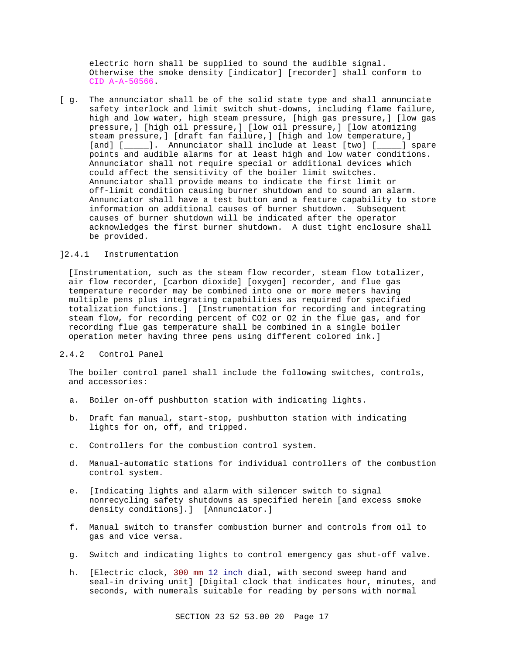electric horn shall be supplied to sound the audible signal. Otherwise the smoke density [indicator] [recorder] shall conform to CID A-A-50566.

[ g. The annunciator shall be of the solid state type and shall annunciate safety interlock and limit switch shut-downs, including flame failure, high and low water, high steam pressure, [high gas pressure,] [low gas pressure,] [high oil pressure,] [low oil pressure,] [low atomizing steam pressure,] [draft fan failure,] [high and low temperature,] [and] [\_\_\_\_\_]. Annunciator shall include at least [two] [\_\_\_\_] spare points and audible alarms for at least high and low water conditions. Annunciator shall not require special or additional devices which could affect the sensitivity of the boiler limit switches. Annunciator shall provide means to indicate the first limit or off-limit condition causing burner shutdown and to sound an alarm. Annunciator shall have a test button and a feature capability to store information on additional causes of burner shutdown. Subsequent causes of burner shutdown will be indicated after the operator acknowledges the first burner shutdown. A dust tight enclosure shall be provided.

# ]2.4.1 Instrumentation

[Instrumentation, such as the steam flow recorder, steam flow totalizer, air flow recorder, [carbon dioxide] [oxygen] recorder, and flue gas temperature recorder may be combined into one or more meters having multiple pens plus integrating capabilities as required for specified totalization functions.] [Instrumentation for recording and integrating steam flow, for recording percent of CO2 or O2 in the flue gas, and for recording flue gas temperature shall be combined in a single boiler operation meter having three pens using different colored ink.]

# 2.4.2 Control Panel

The boiler control panel shall include the following switches, controls, and accessories:

- a. Boiler on-off pushbutton station with indicating lights.
- b. Draft fan manual, start-stop, pushbutton station with indicating lights for on, off, and tripped.
- c. Controllers for the combustion control system.
- d. Manual-automatic stations for individual controllers of the combustion control system.
- e. [Indicating lights and alarm with silencer switch to signal nonrecycling safety shutdowns as specified herein [and excess smoke density conditions].] [Annunciator.]
- f. Manual switch to transfer combustion burner and controls from oil to gas and vice versa.
- g. Switch and indicating lights to control emergency gas shut-off valve.
- h. [Electric clock, 300 mm 12 inch dial, with second sweep hand and seal-in driving unit] [Digital clock that indicates hour, minutes, and seconds, with numerals suitable for reading by persons with normal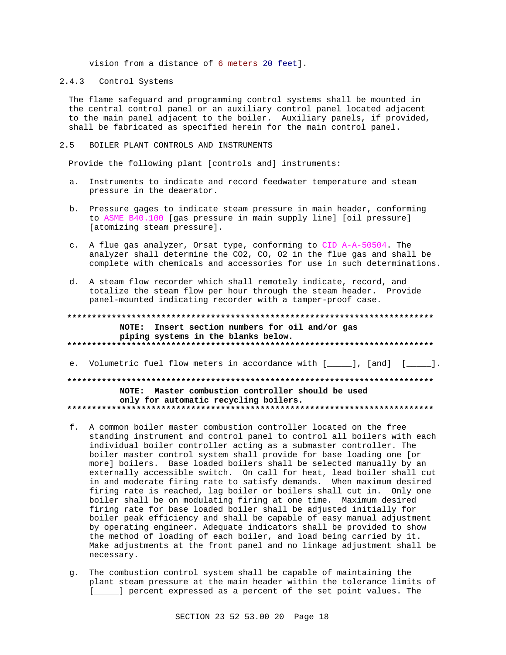vision from a distance of 6 meters 20 feet].

2.4.3 Control Systems

The flame safeguard and programming control systems shall be mounted in the central control panel or an auxiliary control panel located adjacent to the main panel adjacent to the boiler. Auxiliary panels, if provided, shall be fabricated as specified herein for the main control panel.

#### $25$ BOILER PLANT CONTROLS AND INSTRUMENTS

Provide the following plant [controls and] instruments:

- a. Instruments to indicate and record feedwater temperature and steam pressure in the deaerator.
- b. Pressure gages to indicate steam pressure in main header, conforming to ASME B40.100 [gas pressure in main supply line] [oil pressure] [atomizing steam pressure].
- c. A flue gas analyzer, Orsat type, conforming to CID A-A-50504. The analyzer shall determine the CO2, CO, O2 in the flue gas and shall be complete with chemicals and accessories for use in such determinations.
- d. A steam flow recorder which shall remotely indicate, record, and totalize the steam flow per hour through the steam header. Provide panel-mounted indicating recorder with a tamper-proof case.

# NOTE: Insert section numbers for oil and/or gas piping systems in the blanks below. e. Volumetric fuel flow meters in accordance with [\_\_\_\_], [and] [\_\_\_\_].

# NOTE: Master combustion controller should be used

# only for automatic recycling boilers.

- f. A common boiler master combustion controller located on the free standing instrument and control panel to control all boilers with each individual boiler controller acting as a submaster controller. The boiler master control system shall provide for base loading one [or more] boilers. Base loaded boilers shall be selected manually by an externally accessible switch. On call for heat, lead boiler shall cut in and moderate firing rate to satisfy demands. When maximum desired firing rate is reached, lag boiler or boilers shall cut in. Only one boiler shall be on modulating firing at one time. Maximum desired firing rate for base loaded boiler shall be adjusted initially for boiler peak efficiency and shall be capable of easy manual adjustment by operating engineer. Adequate indicators shall be provided to show the method of loading of each boiler, and load being carried by it. Make adjustments at the front panel and no linkage adjustment shall be necessary.
- g. The combustion control system shall be capable of maintaining the plant steam pressure at the main header within the tolerance limits of [\_\_\_\_\_] percent expressed as a percent of the set point values. The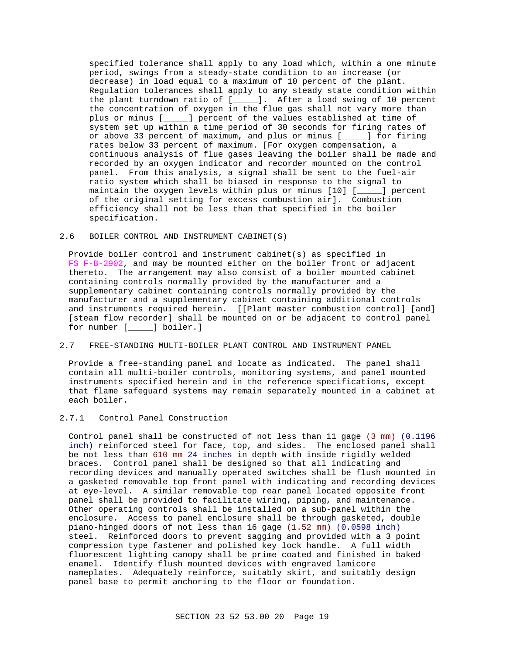specified tolerance shall apply to any load which, within a one minute period, swings from a steady-state condition to an increase (or decrease) in load equal to a maximum of 10 percent of the plant. Regulation tolerances shall apply to any steady state condition within the plant turndown ratio of [\_\_\_\_\_]. After a load swing of 10 percent the concentration of oxygen in the flue gas shall not vary more than plus or minus [\_\_\_\_\_] percent of the values established at time of system set up within a time period of 30 seconds for firing rates of or above 33 percent of maximum, and plus or minus [\_\_\_\_\_] for firing rates below 33 percent of maximum. [For oxygen compensation, a continuous analysis of flue gases leaving the boiler shall be made and recorded by an oxygen indicator and recorder mounted on the control panel. From this analysis, a signal shall be sent to the fuel-air ratio system which shall be biased in response to the signal to maintain the oxygen levels within plus or minus [10] [\_\_\_\_\_] percent of the original setting for excess combustion air]. Combustion efficiency shall not be less than that specified in the boiler specification.

# 2.6 BOILER CONTROL AND INSTRUMENT CABINET(S)

Provide boiler control and instrument cabinet(s) as specified in FS F-B-2902, and may be mounted either on the boiler front or adjacent thereto. The arrangement may also consist of a boiler mounted cabinet containing controls normally provided by the manufacturer and a supplementary cabinet containing controls normally provided by the manufacturer and a supplementary cabinet containing additional controls and instruments required herein. [[Plant master combustion control] [and] [steam flow recorder] shall be mounted on or be adjacent to control panel for number [\_\_\_\_\_] boiler.]

# 2.7 FREE-STANDING MULTI-BOILER PLANT CONTROL AND INSTRUMENT PANEL

Provide a free-standing panel and locate as indicated. The panel shall contain all multi-boiler controls, monitoring systems, and panel mounted instruments specified herein and in the reference specifications, except that flame safeguard systems may remain separately mounted in a cabinet at each boiler.

# 2.7.1 Control Panel Construction

Control panel shall be constructed of not less than 11 gage (3 mm) (0.1196 inch) reinforced steel for face, top, and sides. The enclosed panel shall be not less than 610 mm 24 inches in depth with inside rigidly welded braces. Control panel shall be designed so that all indicating and recording devices and manually operated switches shall be flush mounted in a gasketed removable top front panel with indicating and recording devices at eye-level. A similar removable top rear panel located opposite front panel shall be provided to facilitate wiring, piping, and maintenance. Other operating controls shall be installed on a sub-panel within the enclosure. Access to panel enclosure shall be through gasketed, double piano-hinged doors of not less than 16 gage (1.52 mm) (0.0598 inch) steel. Reinforced doors to prevent sagging and provided with a 3 point compression type fastener and polished key lock handle. A full width fluorescent lighting canopy shall be prime coated and finished in baked enamel. Identify flush mounted devices with engraved lamicore nameplates. Adequately reinforce, suitably skirt, and suitably design panel base to permit anchoring to the floor or foundation.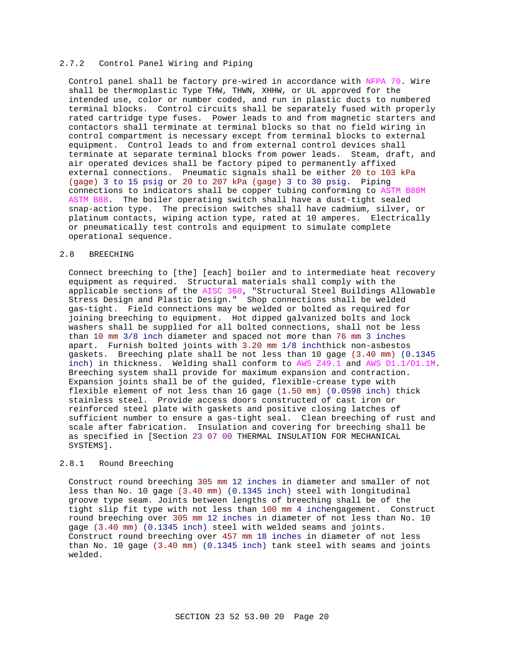# 2.7.2 Control Panel Wiring and Piping

Control panel shall be factory pre-wired in accordance with NFPA 70. Wire shall be thermoplastic Type THW, THWN, XHHW, or UL approved for the intended use, color or number coded, and run in plastic ducts to numbered terminal blocks. Control circuits shall be separately fused with properly rated cartridge type fuses. Power leads to and from magnetic starters and contactors shall terminate at terminal blocks so that no field wiring in control compartment is necessary except from terminal blocks to external equipment. Control leads to and from external control devices shall terminate at separate terminal blocks from power leads. Steam, draft, and air operated devices shall be factory piped to permanently affixed external connections. Pneumatic signals shall be either 20 to 103 kPa (gage) 3 to 15 psig or 20 to 207 kPa (gage) 3 to 30 psig. Piping connections to indicators shall be copper tubing conforming to ASTM B88M ASTM B88. The boiler operating switch shall have a dust-tight sealed snap-action type. The precision switches shall have cadmium, silver, or platinum contacts, wiping action type, rated at 10 amperes. Electrically or pneumatically test controls and equipment to simulate complete operational sequence.

# 2.8 BREECHING

Connect breeching to [the] [each] boiler and to intermediate heat recovery equipment as required. Structural materials shall comply with the applicable sections of the AISC 360, "Structural Steel Buildings Allowable Stress Design and Plastic Design." Shop connections shall be welded gas-tight. Field connections may be welded or bolted as required for joining breeching to equipment. Hot dipped galvanized bolts and lock washers shall be supplied for all bolted connections, shall not be less than 10 mm 3/8 inch diameter and spaced not more than 76 mm 3 inches apart. Furnish bolted joints with 3.20 mm 1/8 inchthick non-asbestos gaskets. Breeching plate shall be not less than 10 gage (3.40 mm) (0.1345 inch) in thickness. Welding shall conform to AWS Z49.1 and AWS D1.1/D1.1M. Breeching system shall provide for maximum expansion and contraction. Expansion joints shall be of the guided, flexible-crease type with flexible element of not less than 16 gage (1.50 mm) (0.0598 inch) thick stainless steel. Provide access doors constructed of cast iron or reinforced steel plate with gaskets and positive closing latches of sufficient number to ensure a gas-tight seal. Clean breeching of rust and scale after fabrication. Insulation and covering for breeching shall be as specified in [Section 23 07 00 THERMAL INSULATION FOR MECHANICAL SYSTEMS].

# 2.8.1 Round Breeching

Construct round breeching 305 mm 12 inches in diameter and smaller of not less than No. 10 gage (3.40 mm) (0.1345 inch) steel with longitudinal groove type seam. Joints between lengths of breeching shall be of the tight slip fit type with not less than 100 mm 4 inchengagement. Construct round breeching over 305 mm 12 inches in diameter of not less than No. 10 gage (3.40 mm) (0.1345 inch) steel with welded seams and joints. Construct round breeching over 457 mm 18 inches in diameter of not less than No. 10 gage (3.40 mm) (0.1345 inch) tank steel with seams and joints welded.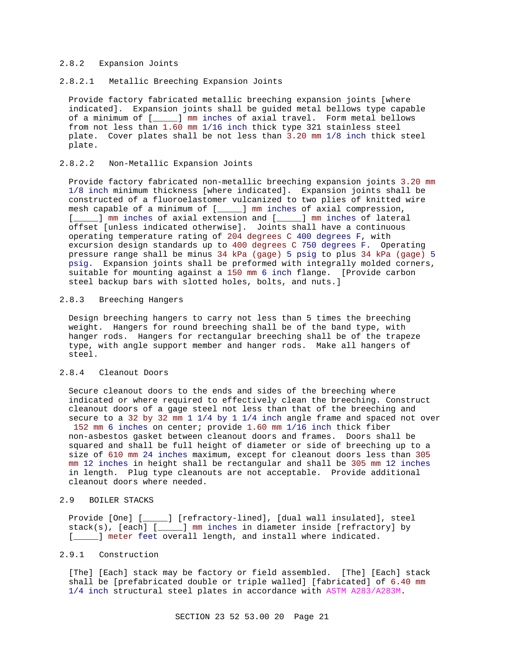### 2.8.2 Expansion Joints

#### 2.8.2.1 Metallic Breeching Expansion Joints

Provide factory fabricated metallic breeching expansion joints [where indicated]. Expansion joints shall be guided metal bellows type capable of a minimum of [\_\_\_\_\_] mm inches of axial travel. Form metal bellows from not less than 1.60 mm 1/16 inch thick type 321 stainless steel plate. Cover plates shall be not less than 3.20 mm 1/8 inch thick steel plate.

# 2.8.2.2 Non-Metallic Expansion Joints

Provide factory fabricated non-metallic breeching expansion joints 3.20 mm 1/8 inch minimum thickness [where indicated]. Expansion joints shall be constructed of a fluoroelastomer vulcanized to two plies of knitted wire mesh capable of a minimum of [\_\_\_\_\_] mm inches of axial compression, [\_\_\_\_\_] mm inches of axial extension and [\_\_\_\_\_] mm inches of lateral offset [unless indicated otherwise]. Joints shall have a continuous operating temperature rating of 204 degrees C 400 degrees F, with excursion design standards up to 400 degrees C 750 degrees F. Operating pressure range shall be minus 34 kPa (gage) 5 psig to plus 34 kPa (gage) 5 psig. Expansion joints shall be preformed with integrally molded corners, suitable for mounting against a 150 mm 6 inch flange. [Provide carbon steel backup bars with slotted holes, bolts, and nuts.]

# 2.8.3 Breeching Hangers

Design breeching hangers to carry not less than 5 times the breeching weight. Hangers for round breeching shall be of the band type, with hanger rods. Hangers for rectangular breeching shall be of the trapeze type, with angle support member and hanger rods. Make all hangers of steel.

### 2.8.4 Cleanout Doors

Secure cleanout doors to the ends and sides of the breeching where indicated or where required to effectively clean the breeching. Construct cleanout doors of a gage steel not less than that of the breeching and secure to a 32 by 32 mm  $1 \frac{1}{4}$  by 1  $\frac{1}{4}$  inch angle frame and spaced not over 152 mm 6 inches on center; provide 1.60 mm 1/16 inch thick fiber non-asbestos gasket between cleanout doors and frames. Doors shall be squared and shall be full height of diameter or side of breeching up to a size of 610 mm 24 inches maximum, except for cleanout doors less than 305 mm 12 inches in height shall be rectangular and shall be 305 mm 12 inches in length. Plug type cleanouts are not acceptable. Provide additional

#### 2.9 BOILER STACKS

cleanout doors where needed.

Provide [One] [\_\_\_\_\_] [refractory-lined], [dual wall insulated], steel stack(s), [each] [\_\_\_\_\_] mm inches in diameter inside [refractory] by [ $\frac{1}{\sqrt{1-\frac{1}{\sqrt{1-\frac{1}{\sqrt{1-\frac{1}{\sqrt{1-\frac{1}{\sqrt{1-\frac{1}{\sqrt{1-\frac{1}{\sqrt{1-\frac{1}{\sqrt{1-\frac{1}{\sqrt{1-\frac{1}{\sqrt{1-\frac{1}{\sqrt{1-\frac{1}{\sqrt{1-\frac{1}{\sqrt{1-\frac{1}{\sqrt{1-\frac{1}{\sqrt{1-\frac{1}{\sqrt{1-\frac{1}{\sqrt{1-\frac{1}{\sqrt{1-\frac{1}{\sqrt{1-\frac{1}{\sqrt{1-\frac{1}{\sqrt{1-\frac{1}{\sqrt{1-\frac{1}{\sqrt{1-\frac{1}{\sqrt{1-\frac{1$ 

# 2.9.1 Construction

[The] [Each] stack may be factory or field assembled. [The] [Each] stack shall be [prefabricated double or triple walled] [fabricated] of 6.40 mm 1/4 inch structural steel plates in accordance with ASTM A283/A283M.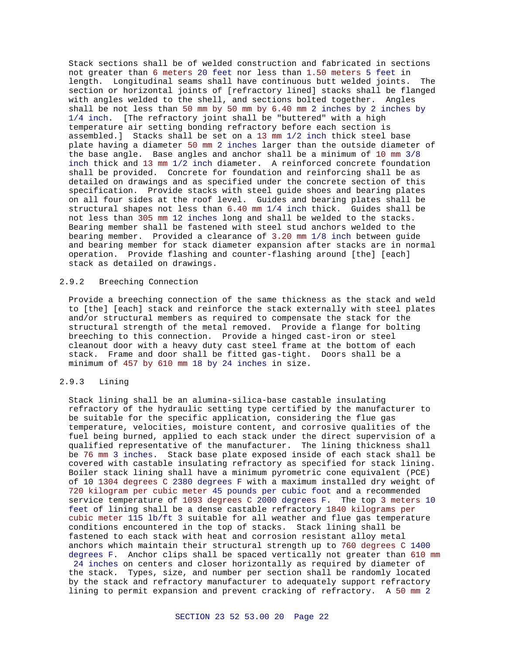Stack sections shall be of welded construction and fabricated in sections not greater than 6 meters 20 feet nor less than 1.50 meters 5 feet in length. Longitudinal seams shall have continuous butt welded joints. The section or horizontal joints of [refractory lined] stacks shall be flanged with angles welded to the shell, and sections bolted together. Angles shall be not less than 50 mm by 50 mm by 6.40 mm 2 inches by 2 inches by 1/4 inch. [The refractory joint shall be "buttered" with a high temperature air setting bonding refractory before each section is assembled.] Stacks shall be set on a 13 mm 1/2 inch thick steel base plate having a diameter 50 mm 2 inches larger than the outside diameter of the base angle. Base angles and anchor shall be a minimum of 10 mm 3/8 inch thick and 13 mm 1/2 inch diameter. A reinforced concrete foundation shall be provided. Concrete for foundation and reinforcing shall be as detailed on drawings and as specified under the concrete section of this specification. Provide stacks with steel guide shoes and bearing plates on all four sides at the roof level. Guides and bearing plates shall be structural shapes not less than 6.40 mm 1/4 inch thick. Guides shall be not less than 305 mm 12 inches long and shall be welded to the stacks. Bearing member shall be fastened with steel stud anchors welded to the bearing member. Provided a clearance of 3.20 mm 1/8 inch between guide and bearing member for stack diameter expansion after stacks are in normal operation. Provide flashing and counter-flashing around [the] [each] stack as detailed on drawings.

### 2.9.2 Breeching Connection

Provide a breeching connection of the same thickness as the stack and weld to [the] [each] stack and reinforce the stack externally with steel plates and/or structural members as required to compensate the stack for the structural strength of the metal removed. Provide a flange for bolting breeching to this connection. Provide a hinged cast-iron or steel cleanout door with a heavy duty cast steel frame at the bottom of each stack. Frame and door shall be fitted gas-tight. Doors shall be a minimum of 457 by 610 mm 18 by 24 inches in size.

# 2.9.3 Lining

Stack lining shall be an alumina-silica-base castable insulating refractory of the hydraulic setting type certified by the manufacturer to be suitable for the specific application, considering the flue gas temperature, velocities, moisture content, and corrosive qualities of the fuel being burned, applied to each stack under the direct supervision of a qualified representative of the manufacturer. The lining thickness shall be 76 mm 3 inches. Stack base plate exposed inside of each stack shall be covered with castable insulating refractory as specified for stack lining. Boiler stack lining shall have a minimum pyrometric cone equivalent (PCE) of 10 1304 degrees C 2380 degrees F with a maximum installed dry weight of 720 kilogram per cubic meter 45 pounds per cubic foot and a recommended service temperature of 1093 degrees C 2000 degrees F. The top 3 meters 10 feet of lining shall be a dense castable refractory 1840 kilograms per cubic meter 115 lb/ft 3 suitable for all weather and flue gas temperature conditions encountered in the top of stacks. Stack lining shall be fastened to each stack with heat and corrosion resistant alloy metal anchors which maintain their structural strength up to 760 degrees C 1400 degrees F. Anchor clips shall be spaced vertically not greater than 610 mm

 24 inches on centers and closer horizontally as required by diameter of the stack. Types, size, and number per section shall be randomly located by the stack and refractory manufacturer to adequately support refractory lining to permit expansion and prevent cracking of refractory. A 50 mm 2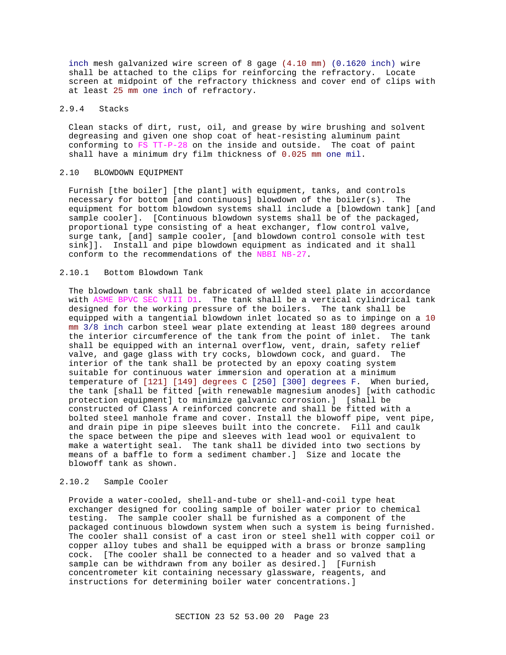inch mesh galvanized wire screen of 8 gage (4.10 mm) (0.1620 inch) wire shall be attached to the clips for reinforcing the refractory. Locate screen at midpoint of the refractory thickness and cover end of clips with at least 25 mm one inch of refractory.

# 2.9.4 Stacks

Clean stacks of dirt, rust, oil, and grease by wire brushing and solvent degreasing and given one shop coat of heat-resisting aluminum paint conforming to FS TT-P-28 on the inside and outside. The coat of paint shall have a minimum dry film thickness of 0.025 mm one mil.

#### 2.10 BLOWDOWN EQUIPMENT

Furnish [the boiler] [the plant] with equipment, tanks, and controls necessary for bottom [and continuous] blowdown of the boiler(s). The equipment for bottom blowdown systems shall include a [blowdown tank] [and sample cooler]. [Continuous blowdown systems shall be of the packaged, proportional type consisting of a heat exchanger, flow control valve, surge tank, [and] sample cooler, [and blowdown control console with test sink]]. Install and pipe blowdown equipment as indicated and it shall conform to the recommendations of the NBBI NB-27.

## 2.10.1 Bottom Blowdown Tank

The blowdown tank shall be fabricated of welded steel plate in accordance with ASME BPVC SEC VIII D1. The tank shall be a vertical cylindrical tank designed for the working pressure of the boilers. The tank shall be equipped with a tangential blowdown inlet located so as to impinge on a 10 mm 3/8 inch carbon steel wear plate extending at least 180 degrees around the interior circumference of the tank from the point of inlet. The tank shall be equipped with an internal overflow, vent, drain, safety relief valve, and gage glass with try cocks, blowdown cock, and guard. The interior of the tank shall be protected by an epoxy coating system suitable for continuous water immersion and operation at a minimum temperature of [121] [149] degrees C [250] [300] degrees F. When buried, the tank [shall be fitted [with renewable magnesium anodes] [with cathodic protection equipment] to minimize galvanic corrosion.] [shall be constructed of Class A reinforced concrete and shall be fitted with a bolted steel manhole frame and cover. Install the blowoff pipe, vent pipe, and drain pipe in pipe sleeves built into the concrete. Fill and caulk the space between the pipe and sleeves with lead wool or equivalent to make a watertight seal. The tank shall be divided into two sections by means of a baffle to form a sediment chamber.] Size and locate the blowoff tank as shown.

### 2.10.2 Sample Cooler

Provide a water-cooled, shell-and-tube or shell-and-coil type heat exchanger designed for cooling sample of boiler water prior to chemical testing. The sample cooler shall be furnished as a component of the packaged continuous blowdown system when such a system is being furnished. The cooler shall consist of a cast iron or steel shell with copper coil or copper alloy tubes and shall be equipped with a brass or bronze sampling cock. [The cooler shall be connected to a header and so valved that a sample can be withdrawn from any boiler as desired.] [Furnish concentrometer kit containing necessary glassware, reagents, and instructions for determining boiler water concentrations.]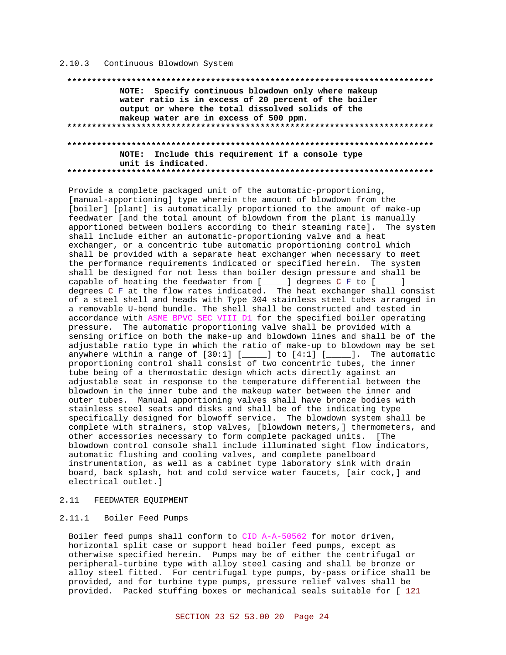### 2.10.3 Continuous Blowdown System

| NOTE: Specify continuous blowdown only where makeup                    |
|------------------------------------------------------------------------|
| water ratio is in excess of 20 percent of the boiler                   |
| output or where the total dissolved solids of the                      |
| makeup water are in excess of 500 ppm.                                 |
|                                                                        |
|                                                                        |
| NOTE: Include this requirement if a console type<br>unit is indicated. |
|                                                                        |

Provide a complete packaged unit of the automatic-proportioning, [manual-apportioning] type wherein the amount of blowdown from the [boiler] [plant] is automatically proportioned to the amount of make-up feedwater [and the total amount of blowdown from the plant is manually apportioned between boilers according to their steaming rate]. The system shall include either an automatic-proportioning valve and a heat exchanger, or a concentric tube automatic proportioning control which shall be provided with a separate heat exchanger when necessary to meet the performance requirements indicated or specified herein. The system shall be designed for not less than boiler design pressure and shall be capable of heating the feedwater from [\_\_\_\_\_] degrees C F to [\_\_\_\_\_] degrees C F at the flow rates indicated. The heat exchanger shall consist of a steel shell and heads with Type 304 stainless steel tubes arranged in a removable U-bend bundle. The shell shall be constructed and tested in accordance with ASME BPVC SEC VIII D1 for the specified boiler operating pressure. The automatic proportioning valve shall be provided with a sensing orifice on both the make-up and blowdown lines and shall be of the adjustable ratio type in which the ratio of make-up to blowdown may be set anywhere within a range of  $[30:1]$  [\_\_\_\_] to  $[4:1]$  [\_\_\_\_]. The automatic proportioning control shall consist of two concentric tubes, the inner tube being of a thermostatic design which acts directly against an adjustable seat in response to the temperature differential between the blowdown in the inner tube and the makeup water between the inner and outer tubes. Manual apportioning valves shall have bronze bodies with stainless steel seats and disks and shall be of the indicating type specifically designed for blowoff service. The blowdown system shall be complete with strainers, stop valves, [blowdown meters,] thermometers, and other accessories necessary to form complete packaged units. [The blowdown control console shall include illuminated sight flow indicators, automatic flushing and cooling valves, and complete panelboard instrumentation, as well as a cabinet type laboratory sink with drain board, back splash, hot and cold service water faucets, [air cock,] and electrical outlet.]

#### $2.11$ FEEDWATER EOUIPMENT

## 2.11.1 Boiler Feed Pumps

Boiler feed pumps shall conform to CID A-A-50562 for motor driven, horizontal split case or support head boiler feed pumps, except as otherwise specified herein. Pumps may be of either the centrifugal or peripheral-turbine type with alloy steel casing and shall be bronze or alloy steel fitted. For centrifugal type pumps, by-pass orifice shall be provided, and for turbine type pumps, pressure relief valves shall be provided. Packed stuffing boxes or mechanical seals suitable for [ 121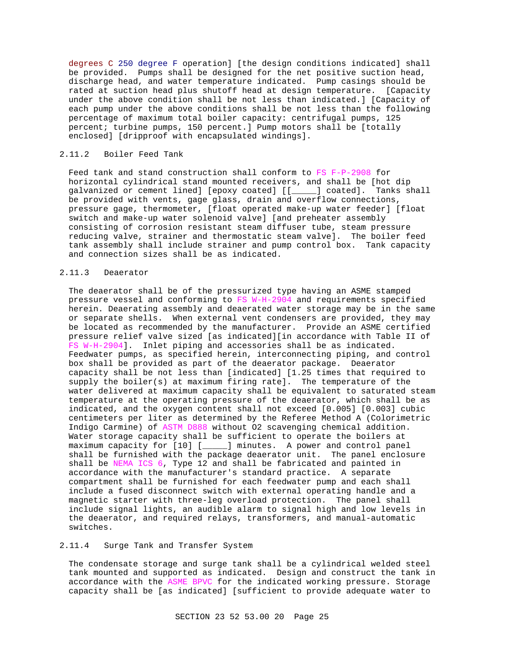degrees C 250 degree F operation] [the design conditions indicated] shall be provided. Pumps shall be designed for the net positive suction head, discharge head, and water temperature indicated. Pump casings should be rated at suction head plus shutoff head at design temperature. [Capacity under the above condition shall be not less than indicated.] [Capacity of each pump under the above conditions shall be not less than the following percentage of maximum total boiler capacity: centrifugal pumps, 125 percent; turbine pumps, 150 percent.] Pump motors shall be [totally enclosed] [dripproof with encapsulated windings].

### 2.11.2 Boiler Feed Tank

Feed tank and stand construction shall conform to FS F-P-2908 for horizontal cylindrical stand mounted receivers, and shall be [hot dip galvanized or cement lined] [epoxy coated] [[\_\_\_\_\_] coated]. Tanks shall be provided with vents, gage glass, drain and overflow connections, pressure gage, thermometer, [float operated make-up water feeder] [float switch and make-up water solenoid valve] [and preheater assembly consisting of corrosion resistant steam diffuser tube, steam pressure reducing valve, strainer and thermostatic steam valve]. The boiler feed tank assembly shall include strainer and pump control box. Tank capacity and connection sizes shall be as indicated.

# 2.11.3 Deaerator

The deaerator shall be of the pressurized type having an ASME stamped pressure vessel and conforming to FS W-H-2904 and requirements specified herein. Deaerating assembly and deaerated water storage may be in the same or separate shells. When external vent condensers are provided, they may be located as recommended by the manufacturer. Provide an ASME certified pressure relief valve sized [as indicated][in accordance with Table II of FS W-H-2904]. Inlet piping and accessories shall be as indicated. Feedwater pumps, as specified herein, interconnecting piping, and control box shall be provided as part of the deaerator package. Deaerator capacity shall be not less than [indicated] [1.25 times that required to supply the boiler(s) at maximum firing rate]. The temperature of the water delivered at maximum capacity shall be equivalent to saturated steam temperature at the operating pressure of the deaerator, which shall be as indicated, and the oxygen content shall not exceed [0.005] [0.003] cubic centimeters per liter as determined by the Referee Method A (Colorimetric Indigo Carmine) of ASTM D888 without O2 scavenging chemical addition. Water storage capacity shall be sufficient to operate the boilers at maximum capacity for [10] [\_\_\_\_\_] minutes. A power and control panel shall be furnished with the package deaerator unit. The panel enclosure shall be NEMA ICS 6, Type 12 and shall be fabricated and painted in accordance with the manufacturer's standard practice. A separate compartment shall be furnished for each feedwater pump and each shall include a fused disconnect switch with external operating handle and a magnetic starter with three-leg overload protection. The panel shall include signal lights, an audible alarm to signal high and low levels in the deaerator, and required relays, transformers, and manual-automatic switches.

# 2.11.4 Surge Tank and Transfer System

The condensate storage and surge tank shall be a cylindrical welded steel tank mounted and supported as indicated. Design and construct the tank in accordance with the ASME BPVC for the indicated working pressure. Storage capacity shall be [as indicated] [sufficient to provide adequate water to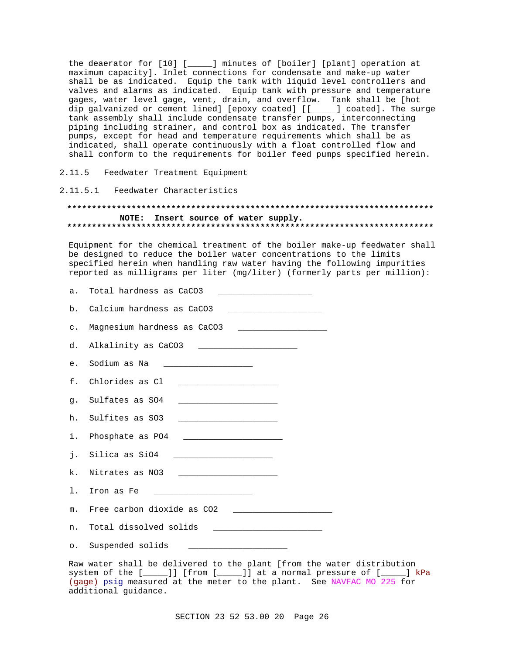the deaerator for [10] [\_\_\_\_\_] minutes of [boiler] [plant] operation at maximum capacity]. Inlet connections for condensate and make-up water shall be as indicated. Equip the tank with liquid level controllers and valves and alarms as indicated. Equip tank with pressure and temperature gages, water level gage, vent, drain, and overflow. Tank shall be [hot dip galvanized or cement lined] [epoxy coated] [[\_\_\_\_\_] coated]. The surge tank assembly shall include condensate transfer pumps, interconnecting piping including strainer, and control box as indicated. The transfer pumps, except for head and temperature requirements which shall be as indicated, shall operate continuously with a float controlled flow and shall conform to the requirements for boiler feed pumps specified herein.

 $2.11.5$ Feedwater Treatment Equipment

#### 2.11.5.1 Feedwater Characteristics

# NOTE: Insert source of water supply.

Equipment for the chemical treatment of the boiler make-up feedwater shall be designed to reduce the boiler water concentrations to the limits specified herein when handling raw water having the following impurities reported as milligrams per liter (mg/liter) (formerly parts per million):

| a. Total hardness as CaCO3 <u>_________________</u> ____ |
|----------------------------------------------------------|
| b. Calcium hardness as CaCO3                             |
|                                                          |
| d. Alkalinity as CaCO3 _______________________           |
| e. Sodium as Na _____________________                    |
| f. Chlorides as Cl $\_\_$                                |
|                                                          |
| h. Sulfites as SO3 _______________________               |
|                                                          |
| j. Silica as SiO4 _____________________                  |
|                                                          |
|                                                          |
|                                                          |
| n. Total dissolved solids _______________________        |
| o. Suspended solids                                      |

Raw water shall be delivered to the plant [from the water distribution system of the [\_\_\_\_]] [from [\_\_\_\_]] at a normal pressure of [\_\_\_\_] kPa (gage) psig measured at the meter to the plant. See NAVFAC MO 225 for additional guidance.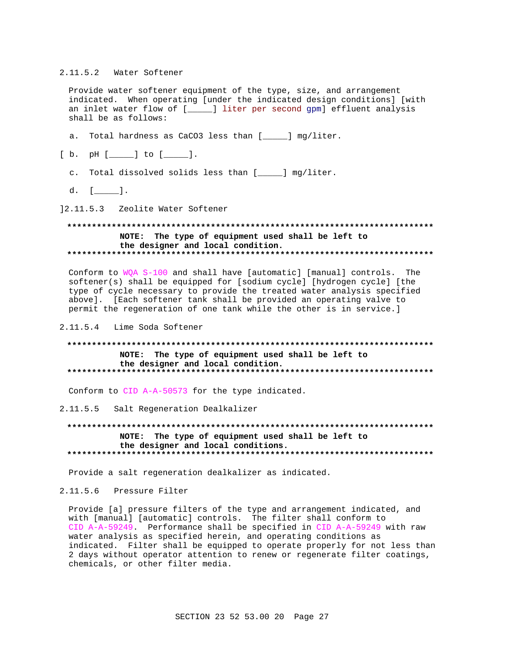#### 2.11.5.2 Water Softener

Provide water softener equipment of the type, size, and arrangement indicated. When operating [under the indicated design conditions] [with an inlet water flow of [\_\_\_\_\_] liter per second gpm] effluent analysis shall be as follows:

a. Total hardness as CaCO3 less than [\_\_\_\_] mg/liter.

 $[b. pH [$  \_\_\_\_\_] to  $[$  \_\_\_\_\_\_\_].

c. Total dissolved solids less than [\_\_\_\_\_] mg/liter.

d.  $[\underline{\hspace{1cm}}]$ .

 $] 2.11.5.3$ Zeolite Water Softener

# NOTE: The type of equipment used shall be left to the designer and local condition.

Conform to WQA S-100 and shall have [automatic] [manual] controls. The softener(s) shall be equipped for [sodium cycle] [hydrogen cycle] [the type of cycle necessary to provide the treated water analysis specified above]. [Each softener tank shall be provided an operating valve to permit the regeneration of one tank while the other is in service.]

#### 2.11.5.4 Lime Soda Softener

# NOTE: The type of equipment used shall be left to the designer and local condition.

Conform to CID A-A-50573 for the type indicated.

2.11.5.5 Salt Regeneration Dealkalizer

# NOTE: The type of equipment used shall be left to the designer and local conditions.

Provide a salt regeneration dealkalizer as indicated.

# 2.11.5.6 Pressure Filter

Provide [a] pressure filters of the type and arrangement indicated, and with [manual] [automatic] controls. The filter shall conform to CID A-A-59249. Performance shall be specified in CID A-A-59249 with raw water analysis as specified herein, and operating conditions as indicated. Filter shall be equipped to operate properly for not less than 2 days without operator attention to renew or regenerate filter coatings, chemicals, or other filter media.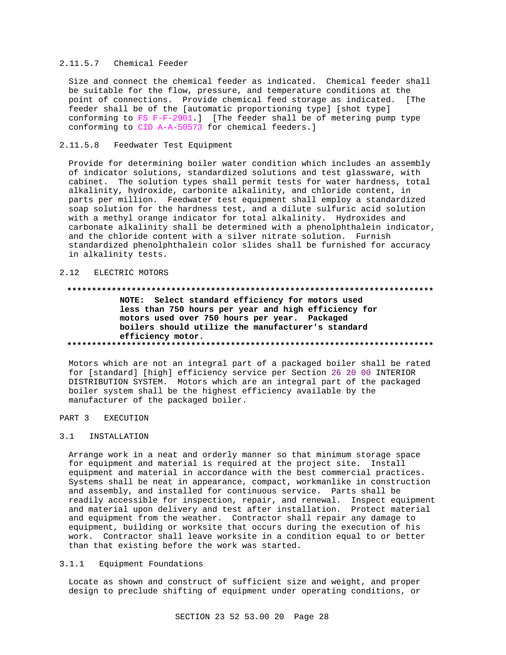#### 2.11.5.7 Chemical Feeder

Size and connect the chemical feeder as indicated. Chemical feeder shall be suitable for the flow, pressure, and temperature conditions at the point of connections. Provide chemical feed storage as indicated. [The feeder shall be of the [automatic proportioning type] [shot type] conforming to FS F-F-2901.] [The feeder shall be of metering pump type conforming to CID A-A-50573 for chemical feeders.]

#### $2.11.5.8$ Feedwater Test Equipment

Provide for determining boiler water condition which includes an assembly of indicator solutions, standardized solutions and test glassware, with cabinet. The solution types shall permit tests for water hardness, total alkalinity, hydroxide, carbonite alkalinity, and chloride content, in parts per million. Feedwater test equipment shall employ a standardized soap solution for the hardness test, and a dilute sulfuric acid solution with a methyl orange indicator for total alkalinity. Hydroxides and carbonate alkalinity shall be determined with a phenolphthalein indicator, and the chloride content with a silver nitrate solution. Furnish standardized phenolphthalein color slides shall be furnished for accuracy in alkalinity tests.

#### $2.12$ ELECTRIC MOTORS

# NOTE: Select standard efficiency for motors used less than 750 hours per year and high efficiency for motors used over 750 hours per year. Packaged boilers should utilize the manufacturer's standard efficiency motor.

Motors which are not an integral part of a packaged boiler shall be rated for [standard] [high] efficiency service per Section 26 20 00 INTERIOR DISTRIBUTION SYSTEM. Motors which are an integral part of the packaged boiler system shall be the highest efficiency available by the manufacturer of the packaged boiler.

#### PART<sub>3</sub> **EXECUTION**

#### $3.1$ INSTALLATION

Arrange work in a neat and orderly manner so that minimum storage space for equipment and material is required at the project site. Install equipment and material in accordance with the best commercial practices. Systems shall be neat in appearance, compact, workmanlike in construction and assembly, and installed for continuous service. Parts shall be readily accessible for inspection, repair, and renewal. Inspect equipment and material upon delivery and test after installation. Protect material and equipment from the weather. Contractor shall repair any damage to equipment, building or worksite that occurs during the execution of his work. Contractor shall leave worksite in a condition equal to or better than that existing before the work was started.

#### $3.1.1$ Equipment Foundations

Locate as shown and construct of sufficient size and weight, and proper design to preclude shifting of equipment under operating conditions, or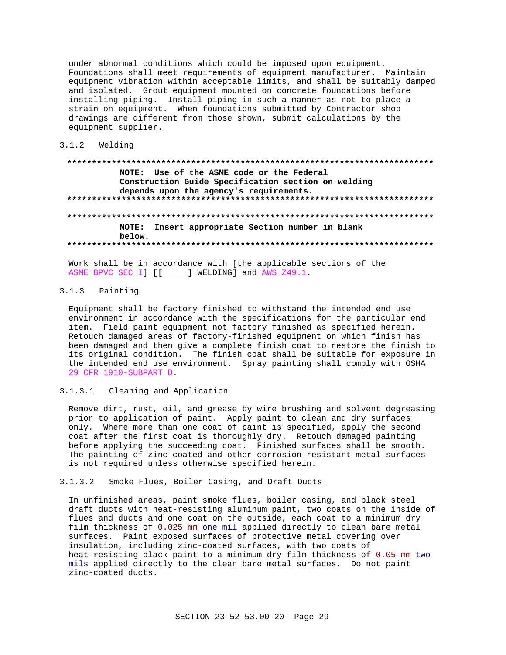under abnormal conditions which could be imposed upon equipment. Foundations shall meet requirements of equipment manufacturer. Maintain equipment vibration within acceptable limits, and shall be suitably damped and isolated. Grout equipment mounted on concrete foundations before installing piping. Install piping in such a manner as not to place a strain on equipment. When foundations submitted by Contractor shop drawings are different from those shown, submit calculations by the equipment supplier.

#### $3.1.2$ Welding

NOTE: Use of the ASME code or the Federal Construction Guide Specification section on welding depends upon the agency's requirements. NOTE: Insert appropriate Section number in blank below. 

Work shall be in accordance with [the applicable sections of the ASME BPVC SEC I [[\_\_\_\_\_] WELDING] and AWS Z49.1.

#### $3.1.3$ Painting

Equipment shall be factory finished to withstand the intended end use environment in accordance with the specifications for the particular end item. Field paint equipment not factory finished as specified herein. Retouch damaged areas of factory-finished equipment on which finish has been damaged and then give a complete finish coat to restore the finish to its original condition. The finish coat shall be suitable for exposure in the intended end use environment. Spray painting shall comply with OSHA 29 CFR 1910-SUBPART D.

#### $3.1.3.1$ Cleaning and Application

Remove dirt, rust, oil, and grease by wire brushing and solvent degreasing prior to application of paint. Apply paint to clean and dry surfaces only. Where more than one coat of paint is specified, apply the second coat after the first coat is thoroughly dry. Retouch damaged painting before applying the succeeding coat. Finished surfaces shall be smooth. The painting of zinc coated and other corrosion-resistant metal surfaces is not required unless otherwise specified herein.

#### $3.1.3.2$ Smoke Flues, Boiler Casing, and Draft Ducts

In unfinished areas, paint smoke flues, boiler casing, and black steel draft ducts with heat-resisting aluminum paint, two coats on the inside of flues and ducts and one coat on the outside, each coat to a minimum dry film thickness of 0.025 mm one mil applied directly to clean bare metal surfaces. Paint exposed surfaces of protective metal covering over insulation, including zinc-coated surfaces, with two coats of heat-resisting black paint to a minimum dry film thickness of 0.05 mm two mils applied directly to the clean bare metal surfaces. Do not paint zinc-coated ducts.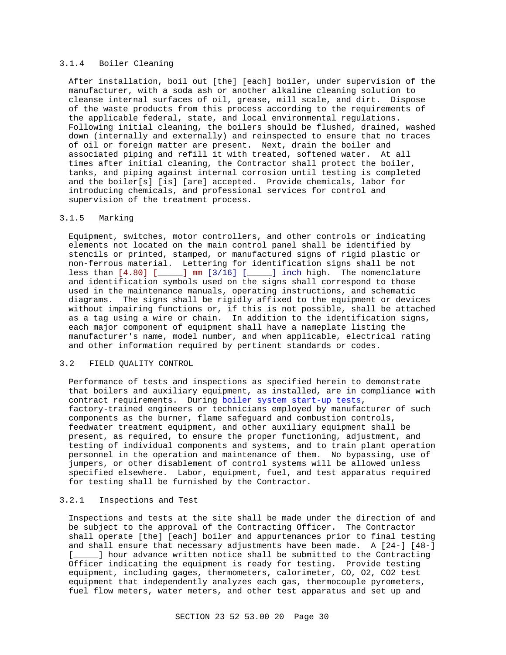# 3.1.4 Boiler Cleaning

After installation, boil out [the] [each] boiler, under supervision of the manufacturer, with a soda ash or another alkaline cleaning solution to cleanse internal surfaces of oil, grease, mill scale, and dirt. Dispose of the waste products from this process according to the requirements of the applicable federal, state, and local environmental regulations. Following initial cleaning, the boilers should be flushed, drained, washed down (internally and externally) and reinspected to ensure that no traces of oil or foreign matter are present. Next, drain the boiler and associated piping and refill it with treated, softened water. At all times after initial cleaning, the Contractor shall protect the boiler, tanks, and piping against internal corrosion until testing is completed and the boiler[s] [is] [are] accepted. Provide chemicals, labor for introducing chemicals, and professional services for control and supervision of the treatment process.

# 3.1.5 Marking

Equipment, switches, motor controllers, and other controls or indicating elements not located on the main control panel shall be identified by stencils or printed, stamped, or manufactured signs of rigid plastic or non-ferrous material. Lettering for identification signs shall be not less than  $[4.80]$   $[\_\_\_\]$  mm  $[3/16]$   $[\_\_\_\_\]$  inch high. The nomenclature and identification symbols used on the signs shall correspond to those used in the maintenance manuals, operating instructions, and schematic diagrams. The signs shall be rigidly affixed to the equipment or devices without impairing functions or, if this is not possible, shall be attached as a tag using a wire or chain. In addition to the identification signs, each major component of equipment shall have a nameplate listing the manufacturer's name, model number, and when applicable, electrical rating and other information required by pertinent standards or codes.

# 3.2 FIELD QUALITY CONTROL

Performance of tests and inspections as specified herein to demonstrate that boilers and auxiliary equipment, as installed, are in compliance with contract requirements. During boiler system start-up tests, factory-trained engineers or technicians employed by manufacturer of such components as the burner, flame safeguard and combustion controls, feedwater treatment equipment, and other auxiliary equipment shall be present, as required, to ensure the proper functioning, adjustment, and testing of individual components and systems, and to train plant operation personnel in the operation and maintenance of them. No bypassing, use of jumpers, or other disablement of control systems will be allowed unless specified elsewhere. Labor, equipment, fuel, and test apparatus required for testing shall be furnished by the Contractor.

#### 3.2.1 Inspections and Test

Inspections and tests at the site shall be made under the direction of and be subject to the approval of the Contracting Officer. The Contractor shall operate [the] [each] boiler and appurtenances prior to final testing and shall ensure that necessary adjustments have been made. A [24-] [48-] [**100**] hour advance written notice shall be submitted to the Contracting Officer indicating the equipment is ready for testing. Provide testing equipment, including gages, thermometers, calorimeter, CO, O2, CO2 test equipment that independently analyzes each gas, thermocouple pyrometers, fuel flow meters, water meters, and other test apparatus and set up and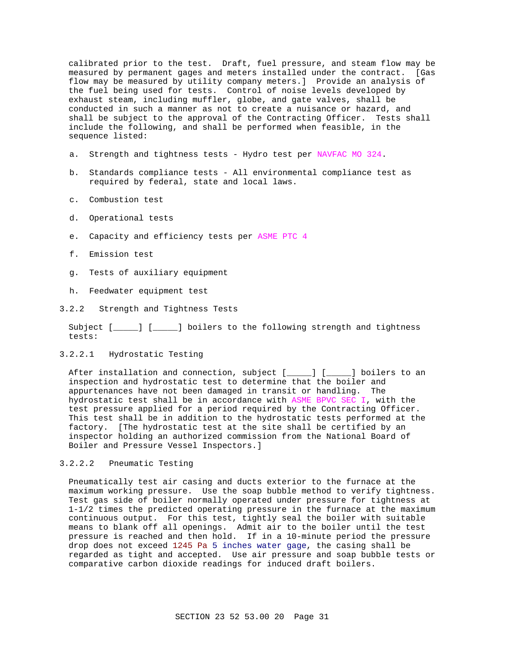calibrated prior to the test. Draft, fuel pressure, and steam flow may be measured by permanent gages and meters installed under the contract. [Gas flow may be measured by utility company meters.] Provide an analysis of the fuel being used for tests. Control of noise levels developed by exhaust steam, including muffler, globe, and gate valves, shall be conducted in such a manner as not to create a nuisance or hazard, and shall be subject to the approval of the Contracting Officer. Tests shall include the following, and shall be performed when feasible, in the sequence listed:

- a. Strength and tightness tests Hydro test per NAVFAC MO 324.
- b. Standards compliance tests All environmental compliance test as required by federal, state and local laws.
- c. Combustion test
- d. Operational tests
- e. Capacity and efficiency tests per ASME PTC 4
- f. Emission test
- g. Tests of auxiliary equipment
- h. Feedwater equipment test
- 3.2.2 Strength and Tightness Tests

Subject [\_\_\_\_\_] [\_\_\_\_\_] boilers to the following strength and tightness tests:

## 3.2.2.1 Hydrostatic Testing

After installation and connection, subject [\_\_\_\_\_] [\_\_\_\_\_] boilers to an inspection and hydrostatic test to determine that the boiler and appurtenances have not been damaged in transit or handling. The hydrostatic test shall be in accordance with ASME BPVC SEC I, with the test pressure applied for a period required by the Contracting Officer. This test shall be in addition to the hydrostatic tests performed at the factory. [The hydrostatic test at the site shall be certified by an inspector holding an authorized commission from the National Board of Boiler and Pressure Vessel Inspectors.]

# 3.2.2.2 Pneumatic Testing

Pneumatically test air casing and ducts exterior to the furnace at the maximum working pressure. Use the soap bubble method to verify tightness. Test gas side of boiler normally operated under pressure for tightness at 1-1/2 times the predicted operating pressure in the furnace at the maximum continuous output. For this test, tightly seal the boiler with suitable means to blank off all openings. Admit air to the boiler until the test pressure is reached and then hold. If in a 10-minute period the pressure drop does not exceed 1245 Pa 5 inches water gage, the casing shall be regarded as tight and accepted. Use air pressure and soap bubble tests or comparative carbon dioxide readings for induced draft boilers.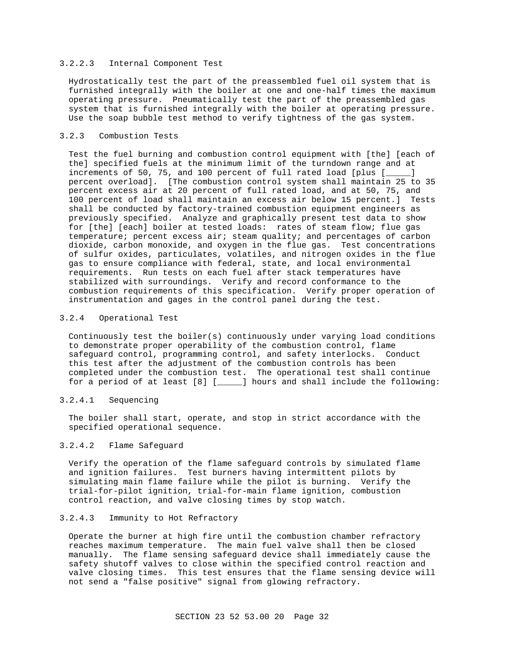### 3.2.2.3 Internal Component Test

Hydrostatically test the part of the preassembled fuel oil system that is furnished integrally with the boiler at one and one-half times the maximum operating pressure. Pneumatically test the part of the preassembled gas system that is furnished integrally with the boiler at operating pressure. Use the soap bubble test method to verify tightness of the gas system.

# 3.2.3 Combustion Tests

Test the fuel burning and combustion control equipment with [the] [each of the] specified fuels at the minimum limit of the turndown range and at increments of 50, 75, and 100 percent of full rated load [plus [\_\_\_\_\_] percent overload]. [The combustion control system shall maintain 25 to 35 percent excess air at 20 percent of full rated load, and at 50, 75, and 100 percent of load shall maintain an excess air below 15 percent.] Tests shall be conducted by factory-trained combustion equipment engineers as previously specified. Analyze and graphically present test data to show for [the] [each] boiler at tested loads: rates of steam flow; flue gas temperature; percent excess air; steam quality; and percentages of carbon dioxide, carbon monoxide, and oxygen in the flue gas. Test concentrations of sulfur oxides, particulates, volatiles, and nitrogen oxides in the flue gas to ensure compliance with federal, state, and local environmental requirements. Run tests on each fuel after stack temperatures have stabilized with surroundings. Verify and record conformance to the combustion requirements of this specification. Verify proper operation of instrumentation and gages in the control panel during the test.

#### 3.2.4 Operational Test

Continuously test the boiler(s) continuously under varying load conditions to demonstrate proper operability of the combustion control, flame safeguard control, programming control, and safety interlocks. Conduct this test after the adjustment of the combustion controls has been completed under the combustion test. The operational test shall continue for a period of at least [8] [\_\_\_\_\_] hours and shall include the following:

# 3.2.4.1 Sequencing

The boiler shall start, operate, and stop in strict accordance with the specified operational sequence.

# 3.2.4.2 Flame Safeguard

Verify the operation of the flame safeguard controls by simulated flame and ignition failures. Test burners having intermittent pilots by simulating main flame failure while the pilot is burning. Verify the trial-for-pilot ignition, trial-for-main flame ignition, combustion control reaction, and valve closing times by stop watch.

# 3.2.4.3 Immunity to Hot Refractory

Operate the burner at high fire until the combustion chamber refractory reaches maximum temperature. The main fuel valve shall then be closed manually. The flame sensing safeguard device shall immediately cause the safety shutoff valves to close within the specified control reaction and valve closing times. This test ensures that the flame sensing device will not send a "false positive" signal from glowing refractory.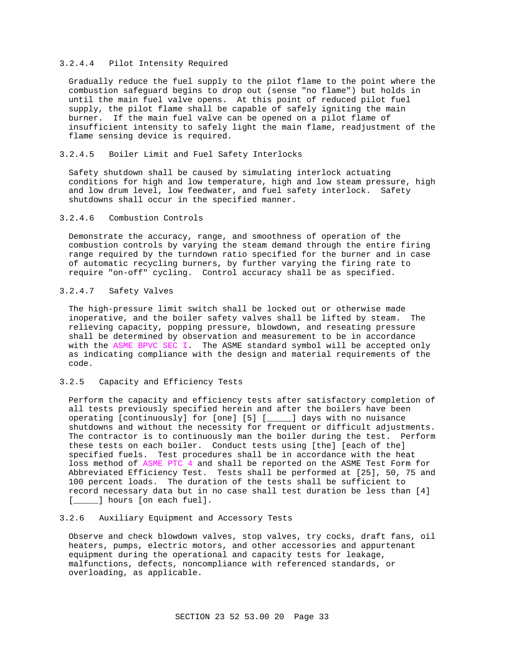# 3.2.4.4 Pilot Intensity Required

Gradually reduce the fuel supply to the pilot flame to the point where the combustion safeguard begins to drop out (sense "no flame") but holds in until the main fuel valve opens. At this point of reduced pilot fuel supply, the pilot flame shall be capable of safely igniting the main burner. If the main fuel valve can be opened on a pilot flame of insufficient intensity to safely light the main flame, readjustment of the flame sensing device is required.

#### 3.2.4.5 Boiler Limit and Fuel Safety Interlocks

Safety shutdown shall be caused by simulating interlock actuating conditions for high and low temperature, high and low steam pressure, high and low drum level, low feedwater, and fuel safety interlock. Safety shutdowns shall occur in the specified manner.

### 3.2.4.6 Combustion Controls

Demonstrate the accuracy, range, and smoothness of operation of the combustion controls by varying the steam demand through the entire firing range required by the turndown ratio specified for the burner and in case of automatic recycling burners, by further varying the firing rate to require "on-off" cycling. Control accuracy shall be as specified.

### 3.2.4.7 Safety Valves

The high-pressure limit switch shall be locked out or otherwise made inoperative, and the boiler safety valves shall be lifted by steam. The relieving capacity, popping pressure, blowdown, and reseating pressure shall be determined by observation and measurement to be in accordance with the ASME BPVC SEC I. The ASME standard symbol will be accepted only as indicating compliance with the design and material requirements of the code.

# 3.2.5 Capacity and Efficiency Tests

Perform the capacity and efficiency tests after satisfactory completion of all tests previously specified herein and after the boilers have been operating [continuously] for [one] [5] [\_\_\_\_\_] days with no nuisance shutdowns and without the necessity for frequent or difficult adjustments. The contractor is to continuously man the boiler during the test. Perform these tests on each boiler. Conduct tests using [the] [each of the] specified fuels. Test procedures shall be in accordance with the heat loss method of ASME PTC 4 and shall be reported on the ASME Test Form for Abbreviated Efficiency Test. Tests shall be performed at [25], 50, 75 and 100 percent loads. The duration of the tests shall be sufficient to record necessary data but in no case shall test duration be less than [4] [**\_\_\_\_\_**] hours [on each fuel].

# 3.2.6 Auxiliary Equipment and Accessory Tests

Observe and check blowdown valves, stop valves, try cocks, draft fans, oil heaters, pumps, electric motors, and other accessories and appurtenant equipment during the operational and capacity tests for leakage, malfunctions, defects, noncompliance with referenced standards, or overloading, as applicable.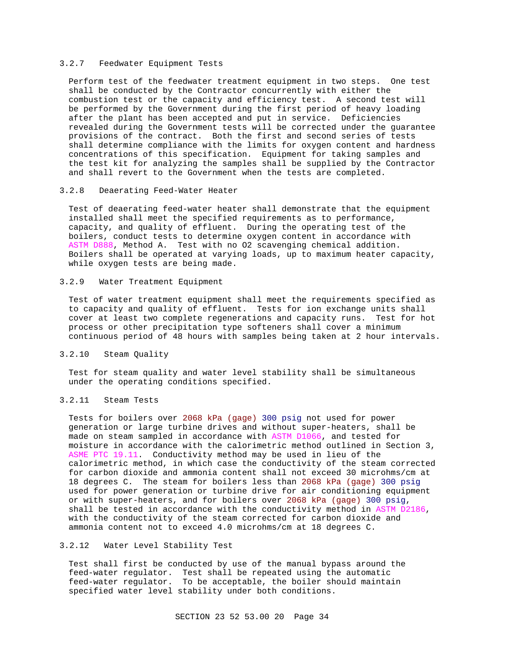### 3.2.7 Feedwater Equipment Tests

Perform test of the feedwater treatment equipment in two steps. One test shall be conducted by the Contractor concurrently with either the combustion test or the capacity and efficiency test. A second test will be performed by the Government during the first period of heavy loading after the plant has been accepted and put in service. Deficiencies revealed during the Government tests will be corrected under the guarantee provisions of the contract. Both the first and second series of tests shall determine compliance with the limits for oxygen content and hardness concentrations of this specification. Equipment for taking samples and the test kit for analyzing the samples shall be supplied by the Contractor and shall revert to the Government when the tests are completed.

#### 3.2.8 Deaerating Feed-Water Heater

Test of deaerating feed-water heater shall demonstrate that the equipment installed shall meet the specified requirements as to performance, capacity, and quality of effluent. During the operating test of the boilers, conduct tests to determine oxygen content in accordance with ASTM D888, Method A. Test with no O2 scavenging chemical addition. Boilers shall be operated at varying loads, up to maximum heater capacity, while oxygen tests are being made.

# 3.2.9 Water Treatment Equipment

Test of water treatment equipment shall meet the requirements specified as to capacity and quality of effluent. Tests for ion exchange units shall cover at least two complete regenerations and capacity runs. Test for hot process or other precipitation type softeners shall cover a minimum continuous period of 48 hours with samples being taken at 2 hour intervals.

# 3.2.10 Steam Quality

Test for steam quality and water level stability shall be simultaneous under the operating conditions specified.

# 3.2.11 Steam Tests

Tests for boilers over 2068 kPa (gage) 300 psig not used for power generation or large turbine drives and without super-heaters, shall be made on steam sampled in accordance with ASTM D1066, and tested for moisture in accordance with the calorimetric method outlined in Section 3, ASME PTC 19.11. Conductivity method may be used in lieu of the calorimetric method, in which case the conductivity of the steam corrected for carbon dioxide and ammonia content shall not exceed 30 microhms/cm at 18 degrees C. The steam for boilers less than 2068 kPa (gage) 300 psig used for power generation or turbine drive for air conditioning equipment or with super-heaters, and for boilers over 2068 kPa (gage) 300 psig, shall be tested in accordance with the conductivity method in ASTM D2186, with the conductivity of the steam corrected for carbon dioxide and ammonia content not to exceed 4.0 microhms/cm at 18 degrees C.

### 3.2.12 Water Level Stability Test

Test shall first be conducted by use of the manual bypass around the feed-water regulator. Test shall be repeated using the automatic feed-water regulator. To be acceptable, the boiler should maintain specified water level stability under both conditions.